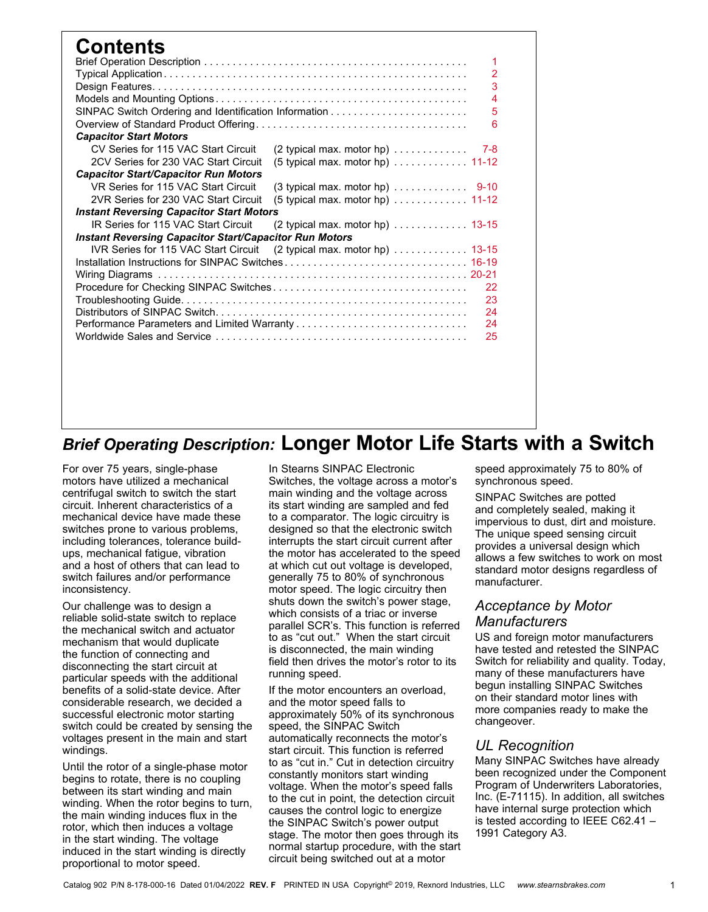| <b>Contents</b>                                                       |  |  |                                                                 |     |  |  |  |  |  |
|-----------------------------------------------------------------------|--|--|-----------------------------------------------------------------|-----|--|--|--|--|--|
|                                                                       |  |  |                                                                 | 1   |  |  |  |  |  |
|                                                                       |  |  |                                                                 | 2   |  |  |  |  |  |
|                                                                       |  |  |                                                                 | 3   |  |  |  |  |  |
|                                                                       |  |  |                                                                 | 4   |  |  |  |  |  |
|                                                                       |  |  |                                                                 | 5   |  |  |  |  |  |
| 6                                                                     |  |  |                                                                 |     |  |  |  |  |  |
| <b>Capacitor Start Motors</b>                                         |  |  |                                                                 |     |  |  |  |  |  |
| CV Series for 115 VAC Start Circuit                                   |  |  | $(2$ typical max. motor hp) $\ldots \ldots \ldots$              | 7-8 |  |  |  |  |  |
| 2CV Series for 230 VAC Start Circuit                                  |  |  | $(5$ typical max. motor hp) $\ldots \ldots \ldots \ldots$ 11-12 |     |  |  |  |  |  |
| <b>Capacitor Start/Capacitor Run Motors</b>                           |  |  |                                                                 |     |  |  |  |  |  |
| VR Series for 115 VAC Start Circuit                                   |  |  |                                                                 |     |  |  |  |  |  |
| 2VR Series for 230 VAC Start Circuit                                  |  |  | $(5$ typical max. motor hp) $\ldots \ldots \ldots \ldots$ 11-12 |     |  |  |  |  |  |
| <b>Instant Reversing Capacitor Start Motors</b>                       |  |  |                                                                 |     |  |  |  |  |  |
| IR Series for 115 VAC Start Circuit                                   |  |  | (2 typical max. motor hp) 13-15                                 |     |  |  |  |  |  |
| <b>Instant Reversing Capacitor Start/Capacitor Run Motors</b>         |  |  |                                                                 |     |  |  |  |  |  |
| IVR Series for 115 VAC Start Circuit (2 typical max. motor hp)  13-15 |  |  |                                                                 |     |  |  |  |  |  |
|                                                                       |  |  |                                                                 |     |  |  |  |  |  |
|                                                                       |  |  |                                                                 |     |  |  |  |  |  |
|                                                                       |  |  |                                                                 | 22  |  |  |  |  |  |
|                                                                       |  |  |                                                                 | 23  |  |  |  |  |  |
|                                                                       |  |  |                                                                 | 24  |  |  |  |  |  |
|                                                                       |  |  |                                                                 | 24  |  |  |  |  |  |
|                                                                       |  |  |                                                                 | 25  |  |  |  |  |  |
|                                                                       |  |  |                                                                 |     |  |  |  |  |  |
|                                                                       |  |  |                                                                 |     |  |  |  |  |  |
|                                                                       |  |  |                                                                 |     |  |  |  |  |  |

## *Brief Operating Description:* **Longer Motor Life Starts with a Switch**

For over 75 years, single-phase motors have utilized a mechanical centrifugal switch to switch the start circuit. Inherent characteristics of a mechanical device have made these switches prone to various problems, including tolerances, tolerance buildups, mechanical fatigue, vibration and a host of others that can lead to switch failures and/or performance inconsistency.

Our challenge was to design a reliable solid-state switch to replace the mechanical switch and actuator mechanism that would duplicate the function of connecting and disconnecting the start circuit at particular speeds with the additional benefits of a solid-state device. After considerable research, we decided a successful electronic motor starting switch could be created by sensing the voltages present in the main and start windings.

Until the rotor of a single-phase motor begins to rotate, there is no coupling between its start winding and main winding. When the rotor begins to turn, the main winding induces flux in the rotor, which then induces a voltage in the start winding. The voltage induced in the start winding is directly proportional to motor speed.

In Stearns SINPAC Electronic Switches, the voltage across a motor's main winding and the voltage across its start winding are sampled and fed to a comparator. The logic circuitry is designed so that the electronic switch interrupts the start circuit current after the motor has accelerated to the speed at which cut out voltage is developed, generally 75 to 80% of synchronous motor speed. The logic circuitry then shuts down the switch's power stage, which consists of a triac or inverse parallel SCR's. This function is referred to as "cut out." When the start circuit is disconnected, the main winding field then drives the motor's rotor to its running speed.

If the motor encounters an overload, and the motor speed falls to approximately 50% of its synchronous speed, the SINPAC Switch automatically reconnects the motor's start circuit. This function is referred to as "cut in." Cut in detection circuitry constantly monitors start winding voltage. When the motor's speed falls to the cut in point, the detection circuit causes the control logic to energize the SINPAC Switch's power output stage. The motor then goes through its normal startup procedure, with the start circuit being switched out at a motor

speed approximately 75 to 80% of synchronous speed.

SINPAC Switches are potted and completely sealed, making it impervious to dust, dirt and moisture. The unique speed sensing circuit provides a universal design which allows a few switches to work on most standard motor designs regardless of manufacturer.

## *Acceptance by Motor Manufacturers*

US and foreign motor manufacturers have tested and retested the SINPAC Switch for reliability and quality. Today, many of these manufacturers have begun installing SINPAC Switches on their standard motor lines with more companies ready to make the changeover.

## *UL Recognition*

Many SINPAC Switches have already been recognized under the Component Program of Underwriters Laboratories, Inc. (E-71115). In addition, all switches have internal surge protection which is tested according to IEEE C62.41 – 1991 Category A3.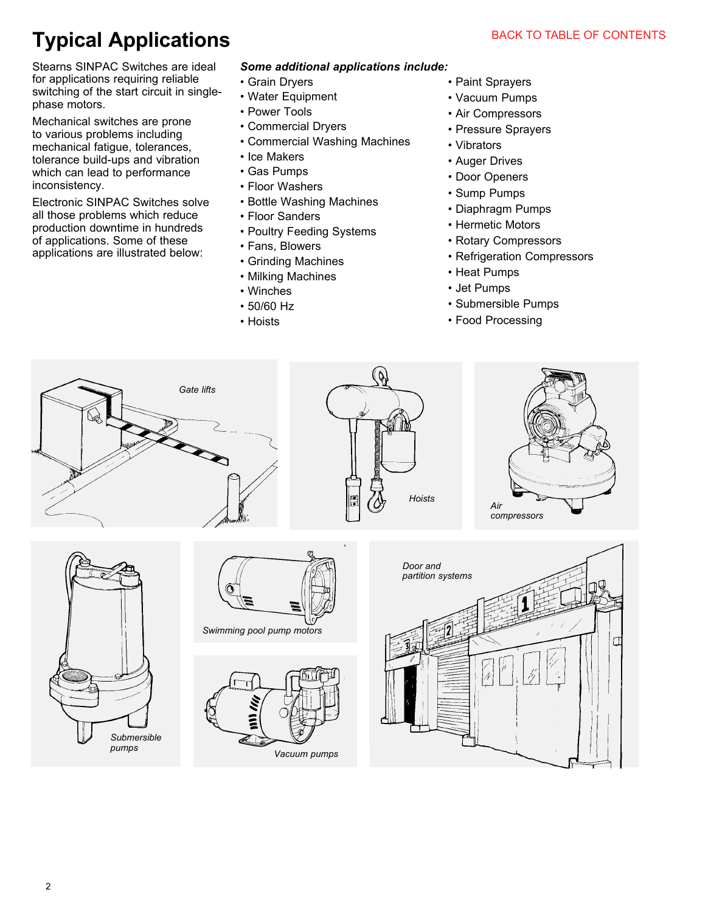## **Typical Applications**

Stearns SINPAC Switches are ideal for applications requiring reliable switching of the start circuit in singlephase motors.

Mechanical switches are prone to various problems including mechanical fatigue, tolerances, tolerance build-ups and vibration which can lead to performance inconsistency.

Electronic SINPAC Switches solve all those problems which reduce production downtime in hundreds of applications. Some of these applications are illustrated below:

#### *Some additional applications include:*

- Grain Dryers
- Water Equipment
- Power Tools
- Commercial Dryers
- Commercial Washing Machines
- Ice Makers
- Gas Pumps
- Floor Washers
- Bottle Washing Machines
- Floor Sanders
- Poultry Feeding Systems
- Fans, Blowers
- Grinding Machines
- Milking Machines
- Winches
- 50/60 Hz
- Hoists
- Paint Sprayers
- Vacuum Pumps
- Air Compressors
- Pressure Sprayers
- Vibrators
- Auger Drives
- Door Openers
- Sump Pumps
- Diaphragm Pumps
- Hermetic Motors
- Rotary Compressors
- Refrigeration Compressors
- Heat Pumps
- Jet Pumps
- Submersible Pumps
- Food Processing

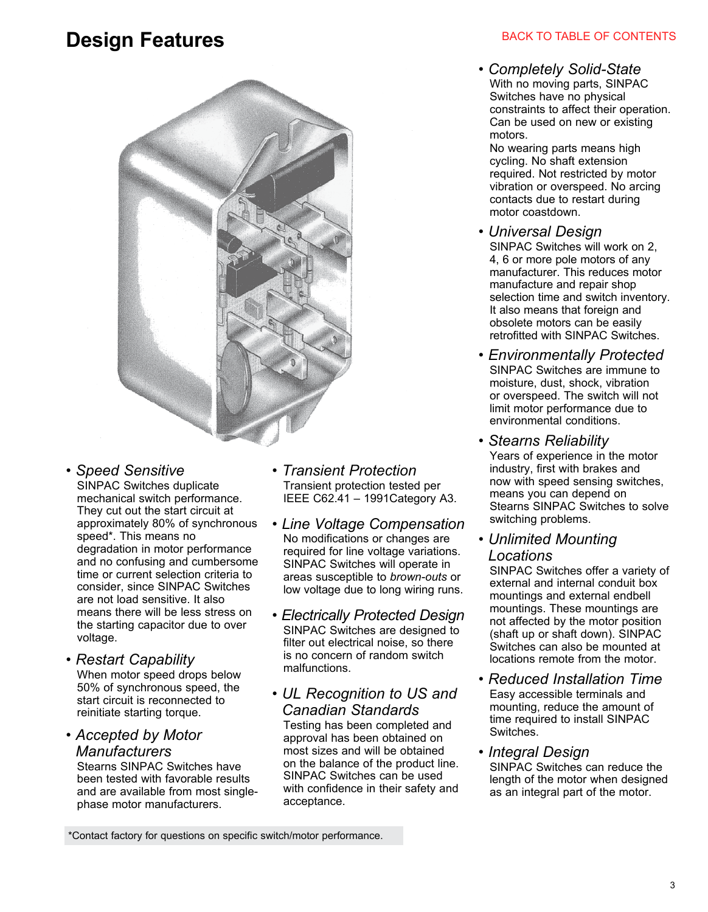## **Design Features**



## *• Speed Sensitive*

 SINPAC Switches duplicate mechanical switch performance. They cut out the start circuit at approximately 80% of synchronous speed\*. This means no degradation in motor performance and no confusing and cumbersome time or current selection criteria to consider, since SINPAC Switches are not load sensitive. It also means there will be less stress on the starting capacitor due to over voltage.

#### *• Restart Capability*

 When motor speed drops below 50% of synchronous speed, the start circuit is reconnected to reinitiate starting torque.

## *• Accepted by Motor Manufacturers*

 Stearns SINPAC Switches have been tested with favorable results and are available from most singlephase motor manufacturers.

- *Transient Protection* Transient protection tested per IEEE C62.41 – 1991Category A3.
- *Line Voltage Compensation* No modifications or changes are required for line voltage variations. SINPAC Switches will operate in areas susceptible to *brown-outs* or low voltage due to long wiring runs.
- *Electrically Protected Design* SINPAC Switches are designed to filter out electrical noise, so there is no concern of random switch malfunctions.
- *UL Recognition to US and Canadian Standards*

 Testing has been completed and approval has been obtained on most sizes and will be obtained on the balance of the product line. SINPAC Switches can be used with confidence in their safety and acceptance.

### BACK TO TABLE OF CONTENTS

*• Completely Solid-State* With no moving parts, SINPAC Switches have no physical constraints to affect their operation. Can be used on new or existing motors.

 No wearing parts means high cycling. No shaft extension required. Not restricted by motor vibration or overspeed. No arcing contacts due to restart during motor coastdown.

- *Universal Design* SINPAC Switches will work on 2, 4, 6 or more pole motors of any manufacturer. This reduces motor manufacture and repair shop selection time and switch inventory. It also means that foreign and obsolete motors can be easily retrofitted with SINPAC Switches.
- *Environmentally Protected* SINPAC Switches are immune to moisture, dust, shock, vibration or overspeed. The switch will not limit motor performance due to environmental conditions.
- *Stearns Reliability* Years of experience in the motor industry, first with brakes and now with speed sensing switches, means you can depend on Stearns SINPAC Switches to solve switching problems.
- *Unlimited Mounting Locations*

 SINPAC Switches offer a variety of external and internal conduit box mountings and external endbell mountings. These mountings are not affected by the motor position (shaft up or shaft down). SINPAC Switches can also be mounted at locations remote from the motor.

*• Reduced Installation Time* Easy accessible terminals and mounting, reduce the amount of time required to install SINPAC **Switches** 

*• Integral Design*

 SINPAC Switches can reduce the length of the motor when designed as an integral part of the motor.

\*Contact factory for questions on specific switch/motor performance.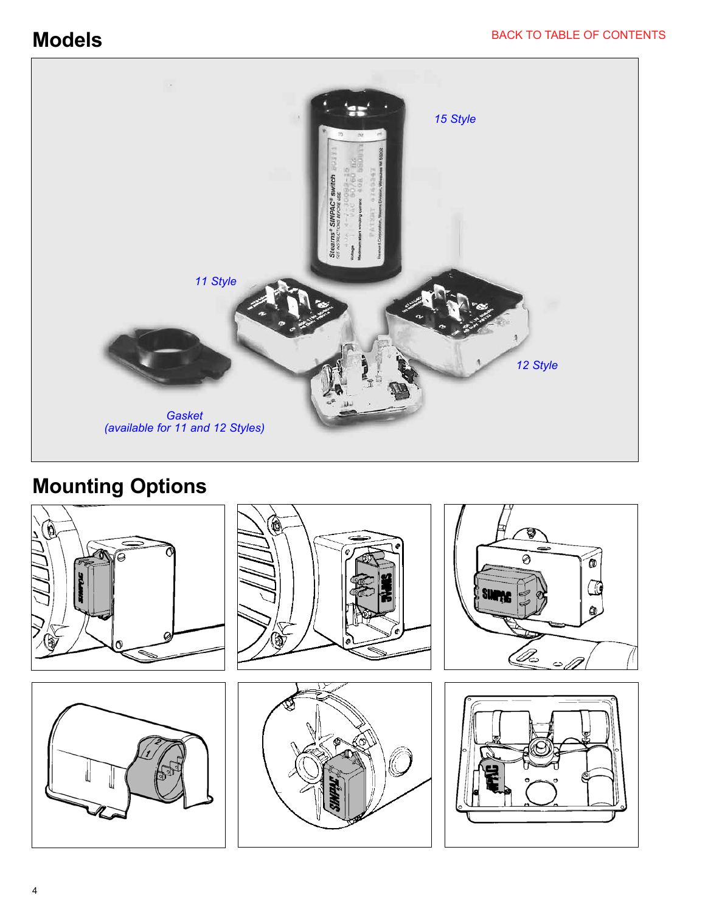**Models**



## **Mounting Options**

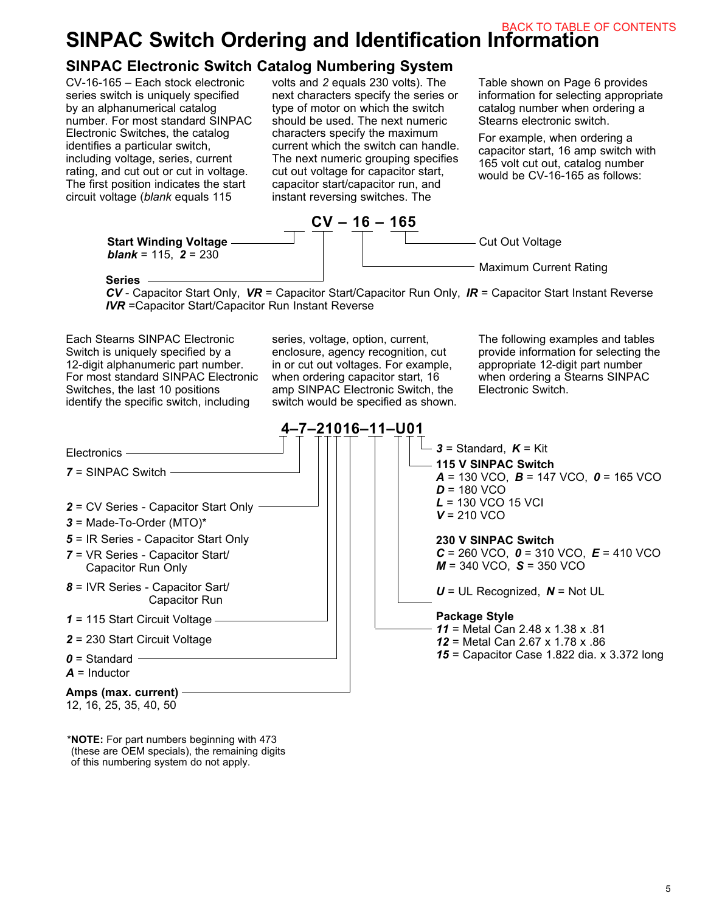## **SINPAC Switch Ordering and Identification Information** BACK TO TABLE OF CONTENTS

## **SINPAC Electronic Switch Catalog Numbering System**

CV-16-165 – Each stock electronic series switch is uniquely specified by an alphanumerical catalog number. For most standard SINPAC Electronic Switches, the catalog identifies a particular switch, including voltage, series, current rating, and cut out or cut in voltage. The first position indicates the start circuit voltage (*blank* equals 115

volts and *2* equals 230 volts). The next characters specify the series or type of motor on which the switch should be used. The next numeric characters specify the maximum current which the switch can handle. The next numeric grouping specifies cut out voltage for capacitor start, capacitor start/capacitor run, and instant reversing switches. The

Table shown on Page 6 provides information for selecting appropriate catalog number when ordering a Stearns electronic switch.

For example, when ordering a capacitor start, 16 amp switch with 165 volt cut out, catalog number would be CV-16-165 as follows:



#### **Series**

*CV* - Capacitor Start Only, *VR* = Capacitor Start/Capacitor Run Only, *IR* = Capacitor Start Instant Reverse *IVR* =Capacitor Start/Capacitor Run Instant Reverse

Each Stearns SINPAC Electronic Switch is uniquely specified by a 12-digit alphanumeric part number. For most standard SINPAC Electronic Switches, the last 10 positions identify the specific switch, including

series, voltage, option, current, enclosure, agency recognition, cut in or cut out voltages. For example, when ordering capacitor start, 16 amp SINPAC Electronic Switch, the switch would be specified as shown. The following examples and tables provide information for selecting the appropriate 12-digit part number when ordering a Stearns SINPAC Electronic Switch.



\***NOTE:** For part numbers beginning with 473 (these are OEM specials), the remaining digits of this numbering system do not apply.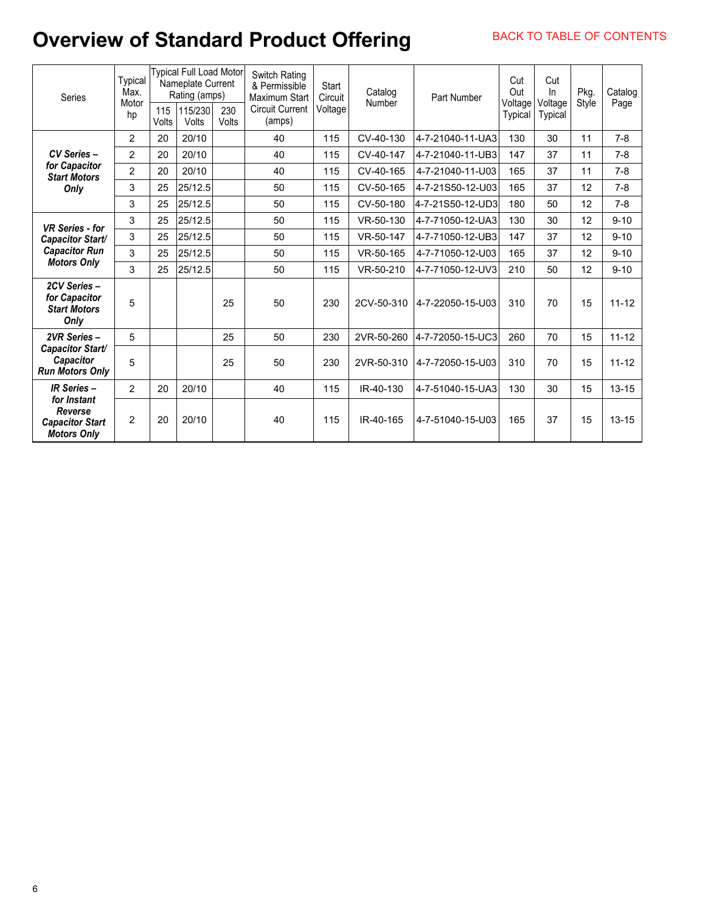## **Overview of Standard Product Offering**

| Series                                                                 | Typical<br>Max.<br>Motor<br>hp | 115<br>Volts | Typical Full Load Motor<br>Nameplate Current<br>Rating (amps)<br>115/230<br>Volts | 230<br>Volts | <b>Switch Rating</b><br>& Permissible<br><b>Maximum Start</b><br><b>Circuit Current</b><br>(amps) | Start<br>Circuit<br>Voltage | Catalog<br>Number | Part Number      | Cut<br>Out<br>Voltage<br>Typical | Cut<br>ln<br>Voltage<br>Typical | Pkg.<br>Style | Catalog<br>Page |
|------------------------------------------------------------------------|--------------------------------|--------------|-----------------------------------------------------------------------------------|--------------|---------------------------------------------------------------------------------------------------|-----------------------------|-------------------|------------------|----------------------------------|---------------------------------|---------------|-----------------|
|                                                                        | $\overline{2}$                 | 20           | 20/10                                                                             |              | 40                                                                                                | 115                         | CV-40-130         | 4-7-21040-11-UA3 | 130                              | 30                              | 11            | $7 - 8$         |
| CV Series -                                                            | $\overline{2}$                 | 20           | 20/10                                                                             |              | 40                                                                                                | 115                         | CV-40-147         | 4-7-21040-11-UB3 | 147                              | 37                              | 11            | $7-8$           |
| for Capacitor<br><b>Start Motors</b>                                   | $\overline{2}$                 | 20           | 20/10                                                                             |              | 40                                                                                                | 115                         | CV-40-165         | 4-7-21040-11-U03 | 165                              | 37                              | 11            | $7 - 8$         |
| Only                                                                   | 3                              | 25           | 25/12.5                                                                           |              | 50                                                                                                | 115                         | CV-50-165         | 4-7-21S50-12-U03 | 165                              | 37                              | 12            | $7-8$           |
|                                                                        | 3                              | 25           | 25/12.5                                                                           |              | 50                                                                                                | 115                         | CV-50-180         | 4-7-21S50-12-UD3 | 180                              | 50                              | 12            | $7 - 8$         |
| <b>VR Series - for</b>                                                 | 3                              | 25           | 25/12.5                                                                           |              | 50                                                                                                | 115                         | VR-50-130         | 4-7-71050-12-UA3 | 130                              | 30                              | 12            | $9 - 10$        |
| Capacitor Start/<br><b>Capacitor Run</b><br><b>Motors Only</b>         | 3                              | 25           | 25/12.5                                                                           |              | 50                                                                                                | 115                         | VR-50-147         | 4-7-71050-12-UB3 | 147                              | 37                              | 12            | $9 - 10$        |
|                                                                        | 3                              | 25           | 25/12.5                                                                           |              | 50                                                                                                | 115                         | VR-50-165         | 4-7-71050-12-U03 | 165                              | 37                              | 12            | $9 - 10$        |
|                                                                        | 3                              | 25           | 25/12.5                                                                           |              | 50                                                                                                | 115                         | VR-50-210         | 4-7-71050-12-UV3 | 210                              | 50                              | 12            | $9 - 10$        |
| 2CV Series-<br>for Capacitor<br><b>Start Motors</b><br>Only            | 5                              |              |                                                                                   | 25           | 50                                                                                                | 230                         | 2CV-50-310        | 4-7-22050-15-U03 | 310                              | 70                              | 15            | $11 - 12$       |
| 2VR Series -                                                           | 5                              |              |                                                                                   | 25           | 50                                                                                                | 230                         | 2VR-50-260        | 4-7-72050-15-UC3 | 260                              | 70                              | 15            | $11 - 12$       |
| <b>Capacitor Start/</b><br>Capacitor<br><b>Run Motors Only</b>         | 5                              |              |                                                                                   | 25           | 50                                                                                                | 230                         | 2VR-50-310        | 4-7-72050-15-U03 | 310                              | 70                              | 15            | $11 - 12$       |
| <b>IR Series -</b>                                                     | $\overline{2}$                 | 20           | 20/10                                                                             |              | 40                                                                                                | 115                         | IR-40-130         | 4-7-51040-15-UA3 | 130                              | 30                              | 15            | $13 - 15$       |
| for Instant<br>Reverse<br><b>Capacitor Start</b><br><b>Motors Only</b> | 2                              | 20           | 20/10                                                                             |              | 40                                                                                                | 115                         | IR-40-165         | 4-7-51040-15-U03 | 165                              | 37                              | 15            | $13 - 15$       |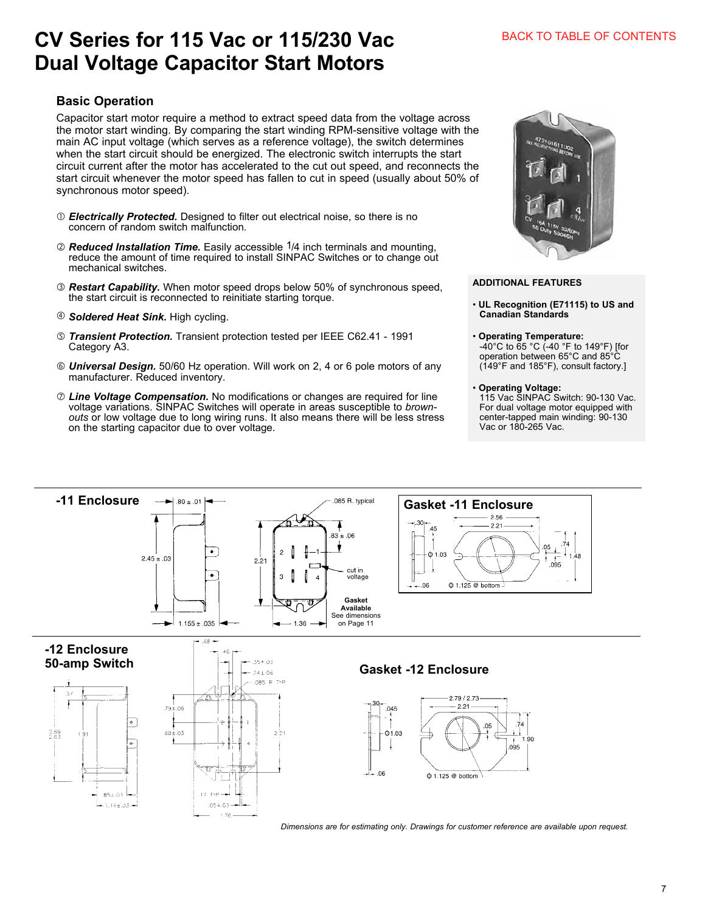## **CV Series for 115 Vac or 115/230 Vac Dual Voltage Capacitor Start Motors**

## **Basic Operation**

Capacitor start motor require a method to extract speed data from the voltage across the motor start winding. By comparing the start winding RPM-sensitive voltage with the main AC input voltage (which serves as a reference voltage), the switch determines when the start circuit should be energized. The electronic switch interrupts the start circuit current after the motor has accelerated to the cut out speed, and reconnects the start circuit whenever the motor speed has fallen to cut in speed (usually about 50% of synchronous motor speed).

- *Electrically Protected.* Designed to filter out electrical noise, so there is no concern of random switch malfunction.
- *Reduced Installation Time.* Easily accessible 1/4 inch terminals and mounting, reduce the amount of time required to install SINPAC Switches or to change out mechanical switches.
- *Restart Capability.* When motor speed drops below 50% of synchronous speed, the start circuit is reconnected to reinitiate starting torque.
- *Soldered Heat Sink.* High cycling.
- *Transient Protection.* Transient protection tested per IEEE C62.41 1991 Category A3.
- *Universal Design.* 50/60 Hz operation. Will work on 2, 4 or 6 pole motors of any manufacturer. Reduced inventory.
- *Line Voltage Compensation.* No modifications or changes are required for line voltage variations. SINPAC Switches will operate in areas susceptible to *brownouts* or low voltage due to long wiring runs. It also means there will be less stress on the starting capacitor due to over voltage.



#### **ADDITIONAL FEATURES**

- **UL Recognition (E71115) to US and Canadian Standards**
- **Operating Temperature:** -40°C to 65 °C (-40 °F to 149°F) [for operation between 65°C and 85°C (149°F and 185°F), consult factory.]
- **Operating Voltage:**

115 Vac SINPAC Switch: 90-130 Vac. For dual voltage motor equipped with center-tapped main winding: 90-130 Vac or 180-265 Vac.



*Dimensions are for estimating only. Drawings for customer reference are available upon request.*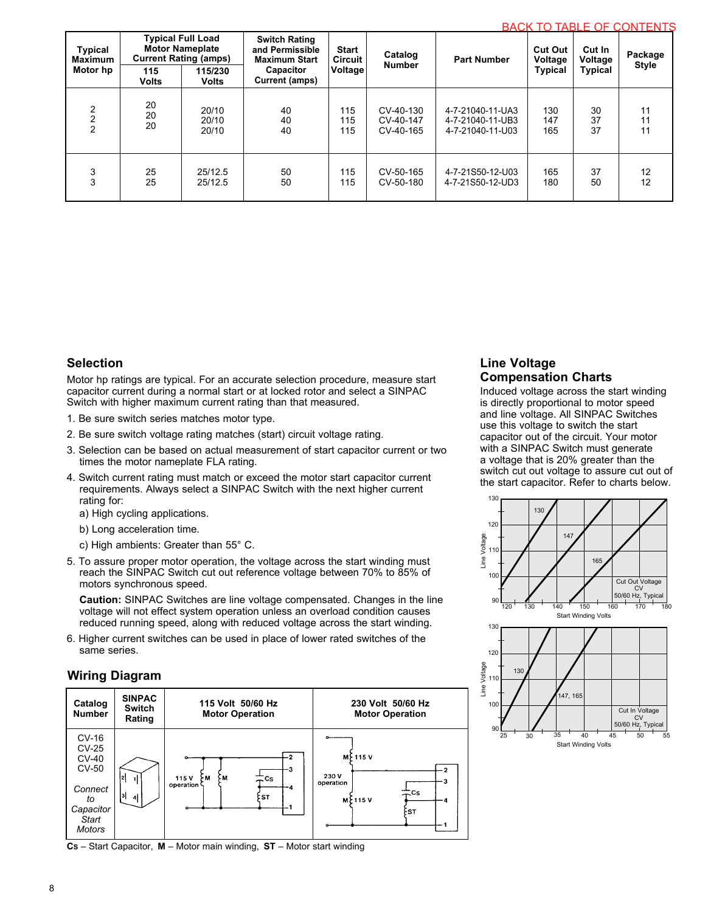| <b>Typical Full Load</b><br><b>Motor Nameplate</b><br>Typical<br><b>Current Rating (amps)</b><br><b>Maximum</b><br>Motor hp<br>115<br>115/230<br><b>Volts</b><br><b>Volts</b> |    | <b>Switch Rating</b><br>and Permissible<br><b>Maximum Start</b><br>Capacitor<br>Current (amps) | <b>Start</b><br><b>Circuit</b><br>Voltage | Catalog<br><b>Number</b> | <b>Part Number</b> | <b>Cut Out</b><br>Voltage<br><b>Typical</b> | Cut In<br>Voltage<br>Typical | יווחות ושט ווטבעות שטוזו שו<br>Package<br><b>Style</b> |    |
|-------------------------------------------------------------------------------------------------------------------------------------------------------------------------------|----|------------------------------------------------------------------------------------------------|-------------------------------------------|--------------------------|--------------------|---------------------------------------------|------------------------------|--------------------------------------------------------|----|
| $\overline{2}$                                                                                                                                                                | 20 | 20/10                                                                                          | 40                                        | 115                      | CV-40-130          | 4-7-21040-11-UA3                            | 130                          | 30                                                     | 11 |
|                                                                                                                                                                               | 20 | 20/10                                                                                          | 40                                        | 115                      | CV-40-147          | 4-7-21040-11-UB3                            | 147                          | 37                                                     | 11 |
|                                                                                                                                                                               | 20 | 20/10                                                                                          | 40                                        | 115                      | CV-40-165          | 4-7-21040-11-U03                            | 165                          | 37                                                     | 11 |
| 3                                                                                                                                                                             | 25 | 25/12.5                                                                                        | 50                                        | 115                      | CV-50-165          | 4-7-21S50-12-U03                            | 165                          | 37                                                     | 12 |
| 3                                                                                                                                                                             | 25 | 25/12.5                                                                                        | 50                                        | 115                      | CV-50-180          | 4-7-21S50-12-UD3                            | 180                          | 50                                                     | 12 |

#### **Selection**

Motor hp ratings are typical. For an accurate selection procedure, measure start capacitor current during a normal start or at locked rotor and select a SINPAC Switch with higher maximum current rating than that measured.

1. Be sure switch series matches motor type.

- 2. Be sure switch voltage rating matches (start) circuit voltage rating.
- 3. Selection can be based on actual measurement of start capacitor current or two times the motor nameplate FLA rating.
- 4. Switch current rating must match or exceed the motor start capacitor current requirements. Always select a SINPAC Switch with the next higher current rating for:

a) High cycling applications.

- b) Long acceleration time.
- c) High ambients: Greater than 55° C.
- 5. To assure proper motor operation, the voltage across the start winding must reach the SINPAC Switch cut out reference voltage between 70% to 85% of motors synchronous speed.

**Caution:** SINPAC Switches are line voltage compensated. Changes in the line voltage will not effect system operation unless an overload condition causes reduced running speed, along with reduced voltage across the start winding.

6. Higher current switches can be used in place of lower rated switches of the same series.

#### **Wiring Diagram**



**CS** – Start Capacitor, **M** – Motor main winding, **ST** – Motor start winding

#### **Line Voltage Compensation Charts**

Induced voltage across the start winding is directly proportional to motor speed and line voltage. All SINPAC Switches use this voltage to switch the start capacitor out of the circuit. Your motor with a SINPAC Switch must generate a voltage that is 20% greater than the switch cut out voltage to assure cut out of the start capacitor. Refer to charts below.

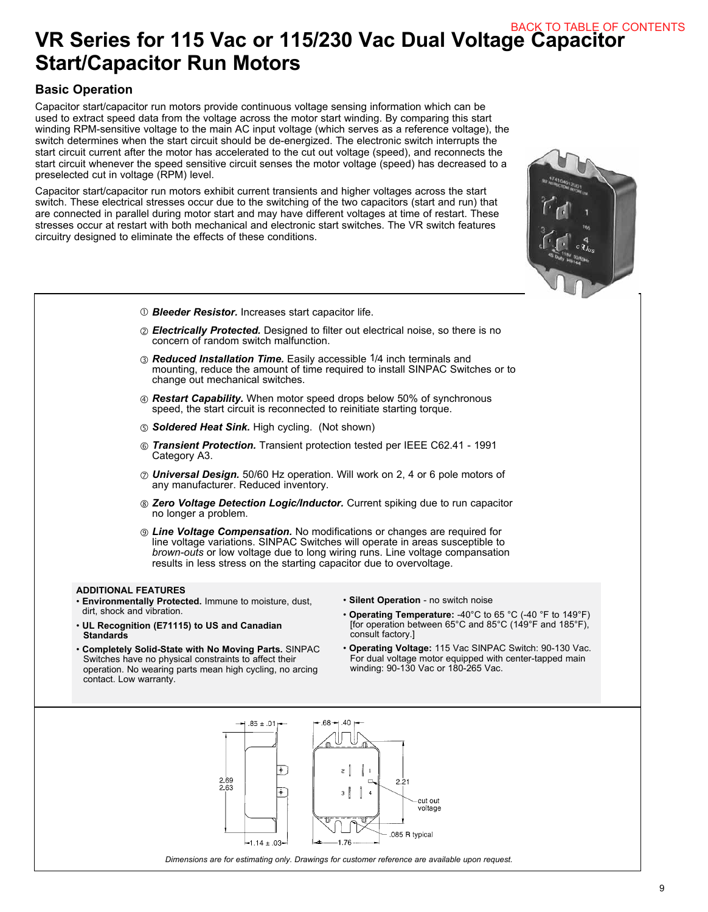## **VR Series for 115 Vac or 115/230 Vac Dual Voltage Capacitor Start/Capacitor Run Motors** BACK TO TABLE OF CONTENTS

## **Basic Operation**

Capacitor start/capacitor run motors provide continuous voltage sensing information which can be used to extract speed data from the voltage across the motor start winding. By comparing this start winding RPM-sensitive voltage to the main AC input voltage (which serves as a reference voltage), the switch determines when the start circuit should be de-energized. The electronic switch interrupts the start circuit current after the motor has accelerated to the cut out voltage (speed), and reconnects the start circuit whenever the speed sensitive circuit senses the motor voltage (speed) has decreased to a preselected cut in voltage (RPM) level.

Capacitor start/capacitor run motors exhibit current transients and higher voltages across the start switch. These electrical stresses occur due to the switching of the two capacitors (start and run) that are connected in parallel during motor start and may have different voltages at time of restart. These stresses occur at restart with both mechanical and electronic start switches. The VR switch features circuitry designed to eliminate the effects of these conditions.

**ADDITIONAL FEATURES** • **Environmentally Protected.** Immune to moisture, dust, dirt, shock and vibration. • **UL Recognition (E71115) to US and Canadian Standards** • **Completely Solid-State with No Moving Parts.** SINPAC Switches have no physical constraints to affect their operation. No wearing parts mean high cycling, no arcing contact. Low warranty. • **Silent Operation** - no switch noise • **Operating Temperature:** -40°C to 65 °C (-40 °F to 149°F) [for operation between 65°C and 85°C (149°F and 185°F), consult factory.] • **Operating Voltage:** 115 Vac SINPAC Switch: 90-130 Vac. For dual voltage motor equipped with center-tapped main winding: 90-130 Vac or 180-265 Vac.  *Bleeder Resistor.* Increases start capacitor life. *Electrically Protected.* Designed to filter out electrical noise, so there is no concern of random switch malfunction. *Reduced Installation Time.* Easily accessible 1/4 inch terminals and mounting, reduce the amount of time required to install SINPAC Switches or to change out mechanical switches. *Restart Capability.* When motor speed drops below 50% of synchronous speed, the start circuit is reconnected to reinitiate starting torque. *Soldered Heat Sink.* High cycling. (Not shown) *Transient Protection.* Transient protection tested per IEEE C62.41 - 1991 Category A3. *Universal Design.* 50/60 Hz operation. Will work on 2, 4 or 6 pole motors of any manufacturer. Reduced inventory. *Zero Voltage Detection Logic/Inductor.* Current spiking due to run capacitor no longer a problem. *Line Voltage Compensation.* No modifications or changes are required for line voltage variations. SINPAC Switches will operate in areas susceptible to *brown-outs* or low voltage due to long wiring runs. Line voltage compansation results in less stress on the starting capacitor due to overvoltage.

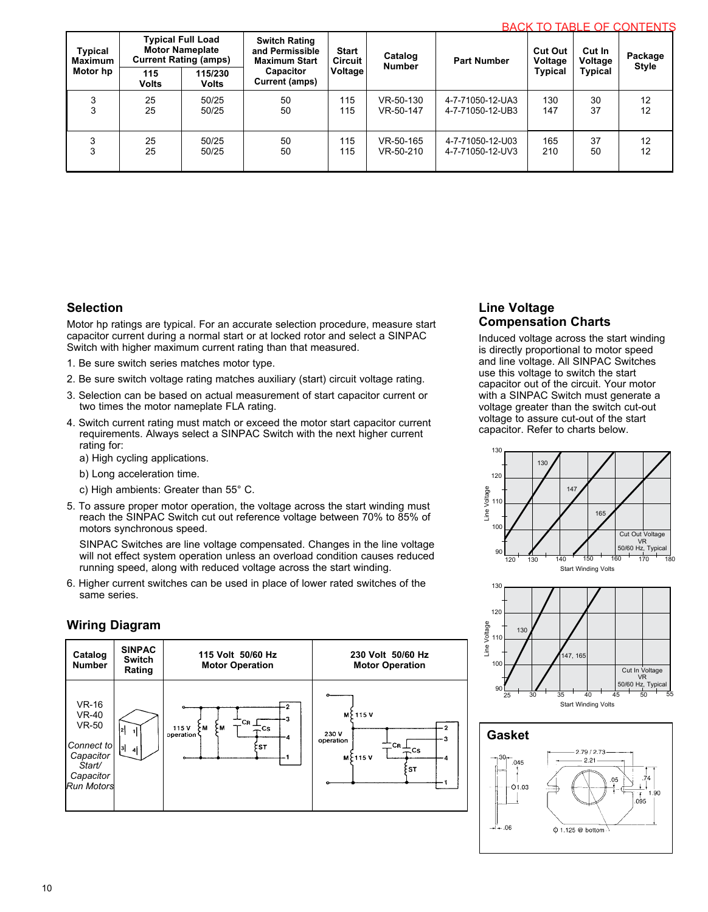|  | <b>BACK TO TABLE OF CONTENTS</b> |  |
|--|----------------------------------|--|
|  |                                  |  |

| Typical<br><b>Maximum</b> | <b>Typical Full Load</b><br><b>Motor Nameplate</b><br><b>Current Rating (amps)</b> |                         | <b>Switch Rating</b><br>and Permissible<br><b>Start</b><br><b>Maximum Start</b><br>Circuit |         | Catalog<br><b>Number</b> | <b>Part Number</b> | <b>Cut Out</b><br>Voltage<br><b>Typical</b> | <b>DAVIL IV IADLE VI VONTENTS</b><br>Cut In<br>Voltage | Package<br><b>Style</b> |  |
|---------------------------|------------------------------------------------------------------------------------|-------------------------|--------------------------------------------------------------------------------------------|---------|--------------------------|--------------------|---------------------------------------------|--------------------------------------------------------|-------------------------|--|
| Motor hp                  | 115<br><b>Volts</b>                                                                | 115/230<br><b>Volts</b> | Capacitor<br>Current (amps)                                                                | Voltage |                          |                    |                                             | Typical                                                |                         |  |
|                           | 25                                                                                 | 50/25                   | 50                                                                                         | 115     | VR-50-130                | 4-7-71050-12-UA3   | 130                                         | 30                                                     | 12                      |  |
|                           | 25                                                                                 | 50/25                   | 50                                                                                         | 115     | VR-50-147                | 4-7-71050-12-UB3   | 147                                         | 37                                                     | 12                      |  |
| 3                         | 25                                                                                 | 50/25                   | 50                                                                                         | 115     | VR-50-165                | 4-7-71050-12-U03   | 165                                         | 37                                                     | 12                      |  |
| 3                         | 25                                                                                 | 50/25                   | 50                                                                                         | 115     | VR-50-210                | 4-7-71050-12-UV3   | 210                                         | 50                                                     | 12                      |  |

#### **Selection**

Motor hp ratings are typical. For an accurate selection procedure, measure start capacitor current during a normal start or at locked rotor and select a SINPAC Switch with higher maximum current rating than that measured.

- 1. Be sure switch series matches motor type.
- 2. Be sure switch voltage rating matches auxiliary (start) circuit voltage rating.
- 3. Selection can be based on actual measurement of start capacitor current or two times the motor nameplate FLA rating.
- 4. Switch current rating must match or exceed the motor start capacitor current requirements. Always select a SINPAC Switch with the next higher current rating for:
	- a) High cycling applications.
	- b) Long acceleration time.
	- c) High ambients: Greater than 55° C.
- 5. To assure proper motor operation, the voltage across the start winding must reach the SINPAC Switch cut out reference voltage between 70% to 85% of motors synchronous speed.

SINPAC Switches are line voltage compensated. Changes in the line voltage will not effect system operation unless an overload condition causes reduced running speed, along with reduced voltage across the start winding.

6. Higher current switches can be used in place of lower rated switches of the same series.

### **Wiring Diagram**



### **Line Voltage Compensation Charts**

Induced voltage across the start winding is directly proportional to motor speed and line voltage. All SINPAC Switches use this voltage to switch the start capacitor out of the circuit. Your motor with a SINPAC Switch must generate a voltage greater than the switch cut-out voltage to assure cut-out of the start capacitor. Refer to charts below.





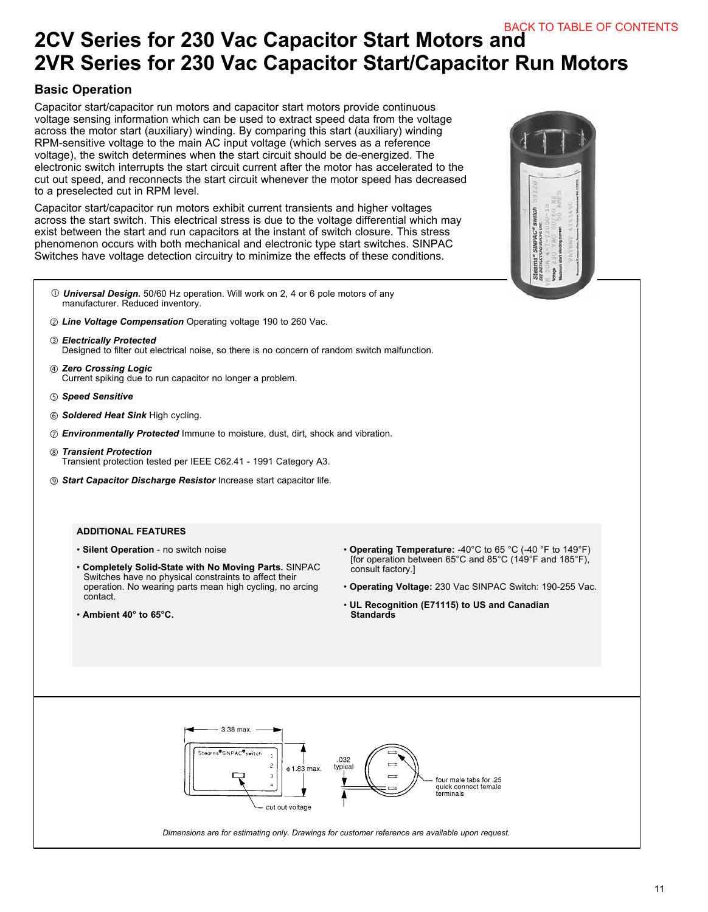## **2CV Series for 230 Vac Capacitor Start Motors and 2VR Series for 230 Vac Capacitor Start/Capacitor Run Motors**

### **Basic Operation**

Capacitor start/capacitor run motors and capacitor start motors provide continuous voltage sensing information which can be used to extract speed data from the voltage across the motor start (auxiliary) winding. By comparing this start (auxiliary) winding RPM-sensitive voltage to the main AC input voltage (which serves as a reference voltage), the switch determines when the start circuit should be de-energized. The electronic switch interrupts the start circuit current after the motor has accelerated to the cut out speed, and reconnects the start circuit whenever the motor speed has decreased to a preselected cut in RPM level.

Capacitor start/capacitor run motors exhibit current transients and higher voltages across the start switch. This electrical stress is due to the voltage differential which may exist between the start and run capacitors at the instant of switch closure. This stress phenomenon occurs with both mechanical and electronic type start switches. SINPAC Switches have voltage detection circuitry to minimize the effects of these conditions.

- *Universal Design.* 50/60 Hz operation. Will work on 2, 4 or 6 pole motors of any manufacturer. Reduced inventory.
- *Line Voltage Compensation* Operating voltage 190 to 260 Vac.
- *Electrically Protected* Designed to filter out electrical noise, so there is no concern of random switch malfunction.
- *Zero Crossing Logic* Current spiking due to run capacitor no longer a problem.
- *Speed Sensitive*
- *Soldered Heat Sink* High cycling.
- *Environmentally Protected* Immune to moisture, dust, dirt, shock and vibration.
- *Transient Protection* Transient protection tested per IEEE C62.41 - 1991 Category A3.
- *Start Capacitor Discharge Resistor* Increase start capacitor life.

#### **ADDITIONAL FEATURES**

- **Silent Operation** no switch noise
- **Completely Solid-State with No Moving Parts.** SINPAC Switches have no physical constraints to affect their operation. No wearing parts mean high cycling, no arcing contact.
- **Ambient 40° to 65°C.**
- **Operating Temperature:** -40°C to 65 °C (-40 °F to 149°F) [for operation between 65°C and 85°C (149°F and 185°F), consult factory.]
- **Operating Voltage:** 230 Vac SINPAC Switch: 190-255 Vac.
- **UL Recognition (E71115) to US and Canadian Standards**

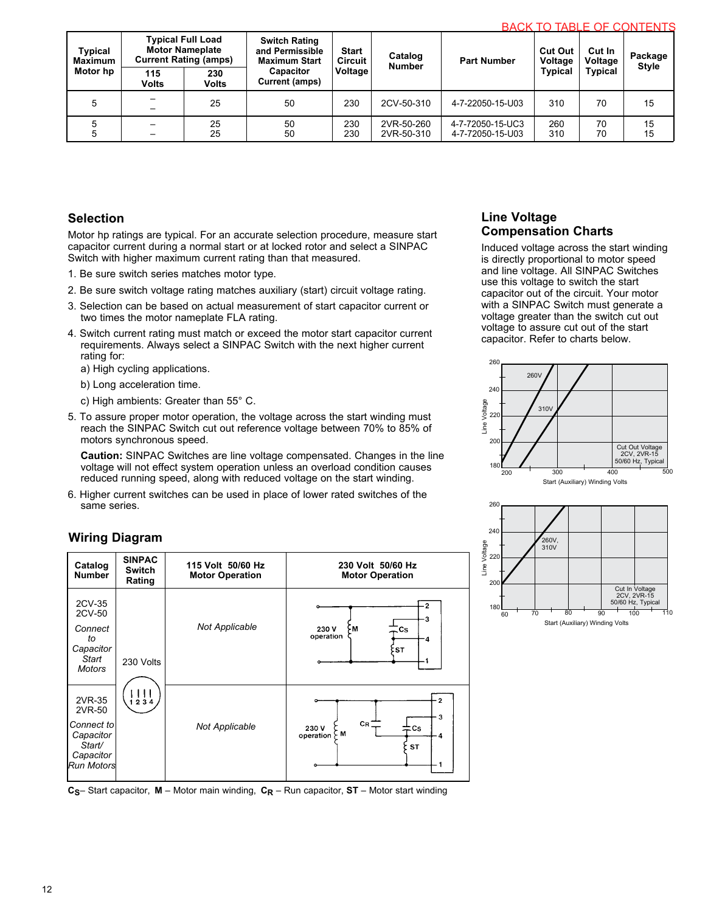| Typical<br><b>Maximum</b> | <b>Typical Full Load</b><br><b>Motor Nameplate</b><br><b>Current Rating (amps)</b> |                     | <b>Switch Rating</b><br>and Permissible<br><b>Maximum Start</b> | <b>Start</b><br>Circuit | Catalog<br><b>Number</b> | <b>Part Number</b>                   | <b>Cut Out</b><br>Voltage | <b>Cut In</b><br>Voltage | Package<br><b>Style</b> |  |
|---------------------------|------------------------------------------------------------------------------------|---------------------|-----------------------------------------------------------------|-------------------------|--------------------------|--------------------------------------|---------------------------|--------------------------|-------------------------|--|
| Motor hp                  | 115<br><b>Volts</b>                                                                | 230<br><b>Volts</b> | <b>Capacitor</b><br><b>Current (amps)</b>                       | Voltage                 |                          |                                      | <b>Typical</b>            | <b>Typical</b>           |                         |  |
|                           |                                                                                    | 25                  | 50                                                              | 230                     | 2CV-50-310               | 4-7-22050-15-U03                     | 310                       | 70                       | 15                      |  |
|                           | —                                                                                  | 25<br>25            | 50<br>50                                                        | 230<br>230              | 2VR-50-260<br>2VR-50-310 | 4-7-72050-15-UC3<br>4-7-72050-15-U03 | 260<br>310                | 70<br>70                 | 15<br>15                |  |

### **Selection**

Motor hp ratings are typical. For an accurate selection procedure, measure start capacitor current during a normal start or at locked rotor and select a SINPAC Switch with higher maximum current rating than that measured.

- 1. Be sure switch series matches motor type.
- 2. Be sure switch voltage rating matches auxiliary (start) circuit voltage rating.
- 3. Selection can be based on actual measurement of start capacitor current or two times the motor nameplate FLA rating.
- 4. Switch current rating must match or exceed the motor start capacitor current requirements. Always select a SINPAC Switch with the next higher current rating for:

a) High cycling applications.

- b) Long acceleration time.
- c) High ambients: Greater than 55° C.
- 5. To assure proper motor operation, the voltage across the start winding must reach the SINPAC Switch cut out reference voltage between 70% to 85% of motors synchronous speed.

**Caution:** SINPAC Switches are line voltage compensated. Changes in the line voltage will not effect system operation unless an overload condition causes reduced running speed, along with reduced voltage on the start winding.

6. Higher current switches can be used in place of lower rated switches of the same series.

### **Wiring Diagram**

| Catalog<br><b>Number</b>                                                                | <b>SINPAC</b><br><b>Switch</b><br>Rating | 115 Volt 50/60 Hz<br><b>Motor Operation</b> | 230 Volt 50/60 Hz<br><b>Motor Operation</b>                         |  |  |
|-----------------------------------------------------------------------------------------|------------------------------------------|---------------------------------------------|---------------------------------------------------------------------|--|--|
| 2CV-35<br>2CV-50<br>Connect<br>to<br>Capacitor<br>Start<br><b>Motors</b>                | 230 Volts                                | <b>Not Applicable</b>                       | $\cdot$ 2<br>-3<br>- M<br>230V<br>Cs:<br>operation<br>-4<br>≿sт     |  |  |
| 2VR-35<br>2VR-50<br>Connect to<br>Capacitor<br>Start/<br>Capacitor<br><b>Run Motors</b> | ,,,<br>1234                              | <b>Not Applicable</b>                       | 2<br>3<br>CR<br>230 V<br>$\equiv$ Cs.<br>ÇΜ<br>operation<br>4<br>ST |  |  |

**CS**– Start capacitor, **M** – Motor main winding, **CR** – Run capacitor, **ST** – Motor start winding

## **Line Voltage Compensation Charts**

Induced voltage across the start winding is directly proportional to motor speed and line voltage. All SINPAC Switches use this voltage to switch the start capacitor out of the circuit. Your motor with a SINPAC Switch must generate a voltage greater than the switch cut out voltage to assure cut out of the start capacitor. Refer to charts below.



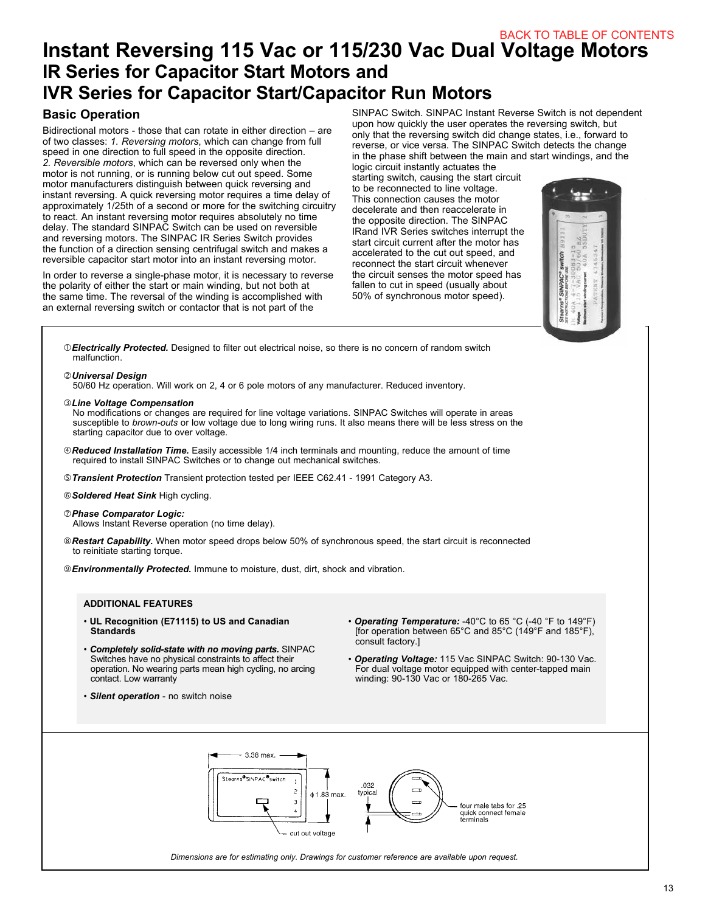## **Instant Reversing 115 Vac or 115/230 Vac Dual Voltage Motors IR Series for Capacitor Start Motors and IVR Series for Capacitor Start/Capacitor Run Motors**

#### **Basic Operation**

Bidirectional motors - those that can rotate in either direction – are of two classes: *1. Reversing motors*, which can change from full speed in one direction to full speed in the opposite direction. *2. Reversible motors*, which can be reversed only when the motor is not running, or is running below cut out speed. Some motor manufacturers distinguish between quick reversing and instant reversing. A quick reversing motor requires a time delay of approximately 1/25th of a second or more for the switching circuitry to react. An instant reversing motor requires absolutely no time delay. The standard SINPAC Switch can be used on reversible and reversing motors. The SINPAC IR Series Switch provides the function of a direction sensing centrifugal switch and makes a reversible capacitor start motor into an instant reversing motor.

In order to reverse a single-phase motor, it is necessary to reverse the polarity of either the start or main winding, but not both at the same time. The reversal of the winding is accomplished with an external reversing switch or contactor that is not part of the

SINPAC Switch. SINPAC Instant Reverse Switch is not dependent upon how quickly the user operates the reversing switch, but only that the reversing switch did change states, i.e., forward to reverse, or vice versa. The SINPAC Switch detects the change in the phase shift between the main and start windings, and the

logic circuit instantly actuates the starting switch, causing the start circuit to be reconnected to line voltage. This connection causes the motor decelerate and then reaccelerate in the opposite direction. The SINPAC IRand IVR Series switches interrupt the start circuit current after the motor has accelerated to the cut out speed, and reconnect the start circuit whenever the circuit senses the motor speed has fallen to cut in speed (usually about 50% of synchronous motor speed).



*Electrically Protected.* Designed to filter out electrical noise, so there is no concern of random switch malfunction.

*Universal Design*

50/60 Hz operation. Will work on 2, 4 or 6 pole motors of any manufacturer. Reduced inventory.

*Line Voltage Compensation*

No modifications or changes are required for line voltage variations. SINPAC Switches will operate in areas susceptible to *brown-outs* or low voltage due to long wiring runs. It also means there will be less stress on the starting capacitor due to over voltage.

- *Reduced Installation Time.* Easily accessible 1/4 inch terminals and mounting, reduce the amount of time required to install SINPAC Switches or to change out mechanical switches.
- *Transient Protection* Transient protection tested per IEEE C62.41 1991 Category A3.

*Soldered Heat Sink* High cycling.

- *Phase Comparator Logic:* Allows Instant Reverse operation (no time delay).
- *Restart Capability.* When motor speed drops below 50% of synchronous speed, the start circuit is reconnected to reinitiate starting torque.

*Environmentally Protected.* Immune to moisture, dust, dirt, shock and vibration.

#### **ADDITIONAL FEATURES**

- **UL Recognition (E71115) to US and Canadian Standards**
- *Completely solid-state with no moving parts.* SINPAC Switches have no physical constraints to affect their operation. No wearing parts mean high cycling, no arcing contact. Low warranty
- *Silent operation* no switch noise
- *Operating Temperature:* -40°C to 65 °C (-40 °F to 149°F) [for operation between 65°C and 85°C (149°F and 185°F), consult factory.]
- *Operating Voltage:* 115 Vac SINPAC Switch: 90-130 Vac. For dual voltage motor equipped with center-tapped main winding: 90-130 Vac or 180-265 Vac.

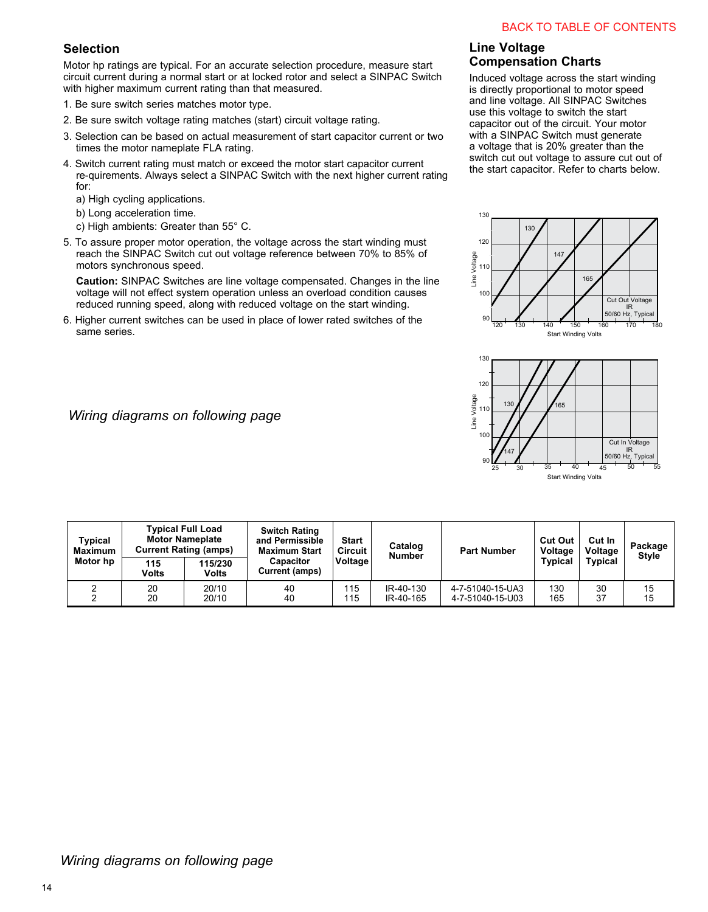## **Selection**

Motor hp ratings are typical. For an accurate selection procedure, measure start circuit current during a normal start or at locked rotor and select a SINPAC Switch with higher maximum current rating than that measured.

- 1. Be sure switch series matches motor type.
- 2. Be sure switch voltage rating matches (start) circuit voltage rating.
- 3. Selection can be based on actual measurement of start capacitor current or two times the motor nameplate FLA rating.
- 4. Switch current rating must match or exceed the motor start capacitor current re-quirements. Always select a SINPAC Switch with the next higher current rating for:
	- a) High cycling applications.
	- b) Long acceleration time.
	- c) High ambients: Greater than 55° C.
- 5. To assure proper motor operation, the voltage across the start winding must reach the SINPAC Switch cut out voltage reference between 70% to 85% of motors synchronous speed.

**Caution:** SINPAC Switches are line voltage compensated. Changes in the line voltage will not effect system operation unless an overload condition causes reduced running speed, along with reduced voltage on the start winding.

6. Higher current switches can be used in place of lower rated switches of the same series.

## *Wiring diagrams on following page*

## **Line Voltage Compensation Charts**

Induced voltage across the start winding is directly proportional to motor speed and line voltage. All SINPAC Switches use this voltage to switch the start capacitor out of the circuit. Your motor with a SINPAC Switch must generate a voltage that is 20% greater than the switch cut out voltage to assure cut out of the start capacitor. Refer to charts below.





| Typical<br>Maximum<br>Motor hp | <b>Typical Full Load</b><br><b>Motor Nameplate</b><br><b>Current Rating (amps)</b> |                         | <b>Switch Rating</b><br>and Permissible<br><b>Maximum Start</b> | Start<br><b>Circuit</b> | Catalog<br><b>Number</b> | <b>Part Number</b>                   | <b>Cut Out</b><br>Voltage | Cut In<br>Voltage | Package<br><b>Style</b> |
|--------------------------------|------------------------------------------------------------------------------------|-------------------------|-----------------------------------------------------------------|-------------------------|--------------------------|--------------------------------------|---------------------------|-------------------|-------------------------|
|                                | 115<br>Volts                                                                       | 115/230<br><b>Volts</b> | <b>Capacitor</b><br>Current (amps)                              | Voltage                 |                          |                                      | <b>Typical</b>            | <b>Typical</b>    |                         |
|                                | 20<br>20                                                                           | 20/10<br>20/10          | 40<br>40                                                        | 115<br>115              | IR-40-130<br>IR-40-165   | 4-7-51040-15-UA3<br>4-7-51040-15-U03 | 130<br>165                | 30<br>37          | 15<br>15                |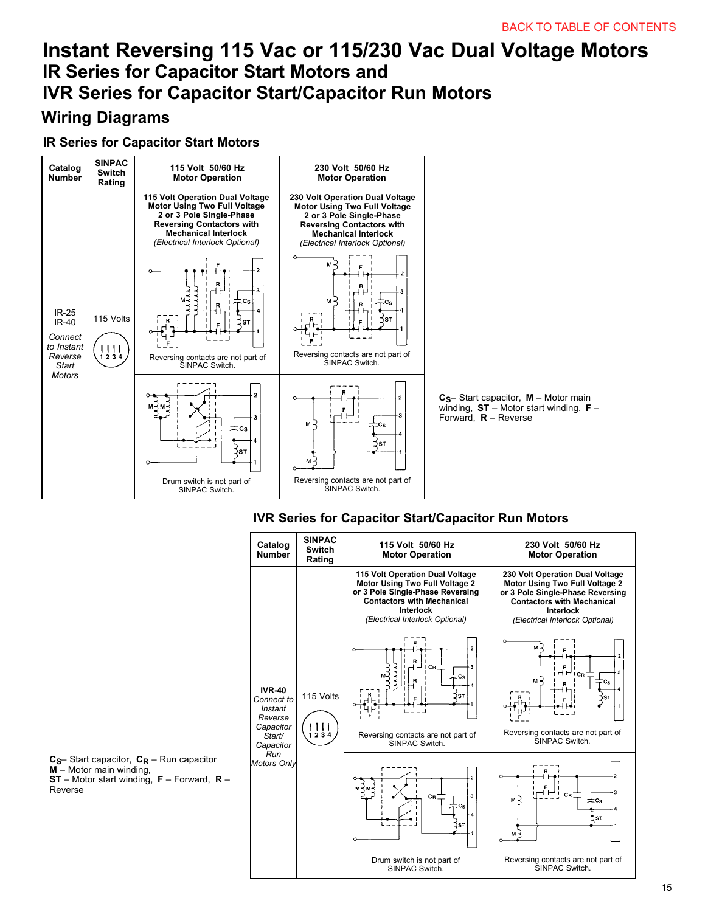# **Instant Reversing 115 Vac or 115/230 Vac Dual Voltage Motors IVR Series for Capacitor Start/Capacitor Run Motors**

## **Wiring Diagrams**

## **IR Series for Capacitor Start Motors**



## **IVR Series for Capacitor Start/Capacitor Run Motors**

| Catalog<br><b>Number</b>                                                              | <b>SINPAC</b><br><b>Switch</b><br>Rating | 115 Volt 50/60 Hz<br><b>Motor Operation</b>                                                                                                                                                | 230 Volt 50/60 Hz<br><b>Motor Operation</b>                                                                                                                                                |
|---------------------------------------------------------------------------------------|------------------------------------------|--------------------------------------------------------------------------------------------------------------------------------------------------------------------------------------------|--------------------------------------------------------------------------------------------------------------------------------------------------------------------------------------------|
|                                                                                       |                                          | 115 Volt Operation Dual Voltage<br>Motor Using Two Full Voltage 2<br>or 3 Pole Single-Phase Reversing<br><b>Contactors with Mechanical</b><br>Interlock<br>(Electrical Interlock Optional) | 230 Volt Operation Dual Voltage<br>Motor Using Two Full Voltage 2<br>or 3 Pole Single-Phase Reversing<br><b>Contactors with Mechanical</b><br>Interlock<br>(Electrical Interlock Optional) |
| <b>IVR-40</b><br>Connect to<br>Instant<br>Reverse<br>Capacitor<br>Start/<br>Capacitor | 115 Volts<br>111<br>1234                 | Cв<br>Сs<br>ST<br>Reversing contacts are not part of<br>SINPAC Switch.                                                                                                                     | м<br>$\overline{2}$<br>3<br>1 CR<br>$M -$<br>$cc_{\rm S}$<br>ŚSТ<br>Reversing contacts are not part of<br>SINPAC Switch.                                                                   |
| Run<br><b>Motors Only</b>                                                             |                                          | $C_{\rm R}$<br>3<br>$c_{s}$<br><b>ST</b>                                                                                                                                                   | $\overline{a}$<br>3<br>Св<br>м<br>Сs<br>4<br><b>ST</b>                                                                                                                                     |
|                                                                                       |                                          | Drum switch is not part of<br>SINPAC Switch.                                                                                                                                               | Reversing contacts are not part of<br>SINPAC Switch.                                                                                                                                       |

**C<sub>S</sub>**– Start capacitor, **C<sub>R</sub>** – Run capacitor **M** – Motor main winding, **ST** – Motor start winding, **F** – Forward, **R** – Reverse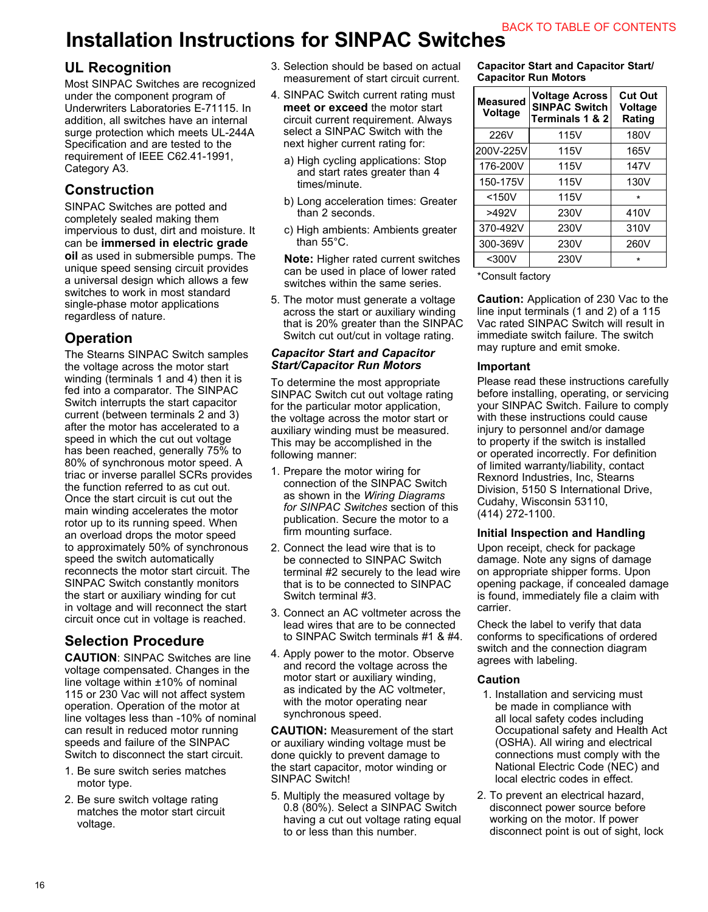## **Installation Instructions for SINPAC Switches**

## **UL Recognition**

Most SINPAC Switches are recognized under the component program of Underwriters Laboratories E-71115. In addition, all switches have an internal surge protection which meets UL-244A Specification and are tested to the requirement of IEEE C62.41-1991, Category A3.

## **Construction**

SINPAC Switches are potted and completely sealed making them impervious to dust, dirt and moisture. It can be **immersed in electric grade oil** as used in submersible pumps. The unique speed sensing circuit provides a universal design which allows a few switches to work in most standard single-phase motor applications regardless of nature.

## **Operation**

The Stearns SINPAC Switch samples the voltage across the motor start winding (terminals 1 and 4) then it is fed into a comparator. The SINPAC Switch interrupts the start capacitor current (between terminals 2 and 3) after the motor has accelerated to a speed in which the cut out voltage has been reached, generally 75% to 80% of synchronous motor speed. A triac or inverse parallel SCRs provides the function referred to as cut out. Once the start circuit is cut out the main winding accelerates the motor rotor up to its running speed. When an overload drops the motor speed to approximately 50% of synchronous speed the switch automatically reconnects the motor start circuit. The SINPAC Switch constantly monitors the start or auxiliary winding for cut in voltage and will reconnect the start circuit once cut in voltage is reached.

## **Selection Procedure**

**CAUTION**: SINPAC Switches are line voltage compensated. Changes in the line voltage within ±10% of nominal 115 or 230 Vac will not affect system operation. Operation of the motor at line voltages less than -10% of nominal can result in reduced motor running speeds and failure of the SINPAC Switch to disconnect the start circuit.

- 1. Be sure switch series matches motor type.
- 2. Be sure switch voltage rating matches the motor start circuit voltage.
- 3. Selection should be based on actual measurement of start circuit current.
- 4. SINPAC Switch current rating must **meet or exceed** the motor start circuit current requirement. Always select a SINPAC Switch with the next higher current rating for:
	- a) High cycling applications: Stop and start rates greater than 4 times/minute.
	- b) Long acceleration times: Greater than 2 seconds.
	- c) High ambients: Ambients greater than 55°C.

**Note:** Higher rated current switches can be used in place of lower rated switches within the same series.

5. The motor must generate a voltage across the start or auxiliary winding that is 20% greater than the SINPAC Switch cut out/cut in voltage rating.

#### *Capacitor Start and Capacitor Start/Capacitor Run Motors*

To determine the most appropriate SINPAC Switch cut out voltage rating for the particular motor application, the voltage across the motor start or auxiliary winding must be measured. This may be accomplished in the following manner:

- 1. Prepare the motor wiring for connection of the SINPAC Switch as shown in the *Wiring Diagrams for SINPAC Switches* section of this publication. Secure the motor to a firm mounting surface.
- 2. Connect the lead wire that is to be connected to SINPAC Switch terminal #2 securely to the lead wire that is to be connected to SINPAC Switch terminal #3.
- 3. Connect an AC voltmeter across the lead wires that are to be connected to SINPAC Switch terminals #1 & #4.
- 4. Apply power to the motor. Observe and record the voltage across the motor start or auxiliary winding, as indicated by the AC voltmeter, with the motor operating near synchronous speed.

**CAUTION:** Measurement of the start or auxiliary winding voltage must be done quickly to prevent damage to the start capacitor, motor winding or SINPAC Switch!

5. Multiply the measured voltage by 0.8 (80%). Select a SINPAC Switch having a cut out voltage rating equal to or less than this number.

**Capacitor Start and Capacitor Start/ Capacitor Run Motors**

| Measured<br>Voltage | <b>Voltage Across</b><br><b>SINPAC Switch</b><br>Terminals 1 & 2 | <b>Cut Out</b><br>Voltage<br>Rating |
|---------------------|------------------------------------------------------------------|-------------------------------------|
| 226V                | 115V                                                             | 180V                                |
| 200V-225V           | 115V                                                             | 165V                                |
| 176-200V            | 115V                                                             | 147V                                |
| 150-175V            | 115V                                                             | 130V                                |
| $<$ 150 $V$         | 115V                                                             | $\star$                             |
| >492V               | 230V                                                             | 410V                                |
| 370-492V            | 230V                                                             | 310V                                |
| 300-369V            | 230V                                                             | 260V                                |
| $300V$              | 230V                                                             | $\star$                             |

\*Consult factory

**Caution:** Application of 230 Vac to the line input terminals (1 and 2) of a 115 Vac rated SINPAC Switch will result in immediate switch failure. The switch may rupture and emit smoke.

### **Important**

Please read these instructions carefully before installing, operating, or servicing your SINPAC Switch. Failure to comply with these instructions could cause injury to personnel and/or damage to property if the switch is installed or operated incorrectly. For definition of limited warranty/liability, contact Rexnord Industries, Inc, Stearns Division, 5150 S International Drive, Cudahy, Wisconsin 53110, (414) 272-1100.

### **Initial Inspection and Handling**

Upon receipt, check for package damage. Note any signs of damage on appropriate shipper forms. Upon opening package, if concealed damage is found, immediately file a claim with carrier.

Check the label to verify that data conforms to specifications of ordered switch and the connection diagram agrees with labeling.

### **Caution**

- 1. Installation and servicing must be made in compliance with all local safety codes including Occupational safety and Health Act (OSHA). All wiring and electrical connections must comply with the National Electric Code (NEC) and local electric codes in effect.
- 2. To prevent an electrical hazard, disconnect power source before working on the motor. If power disconnect point is out of sight, lock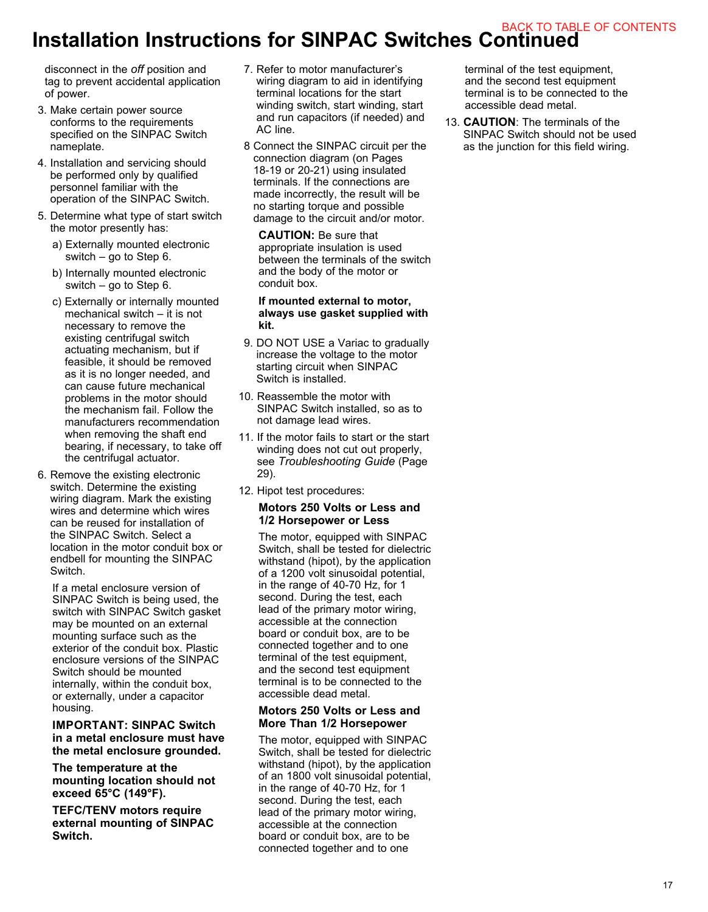## **Installation Instructions for SINPAC Switches Continued** BACK TO TABLE OF CONTENTS

disconnect in the *off* position and tag to prevent accidental application of power.

- 3. Make certain power source conforms to the requirements specified on the SINPAC Switch nameplate.
- 4. Installation and servicing should be performed only by qualified personnel familiar with the operation of the SINPAC Switch.
- 5. Determine what type of start switch the motor presently has:
	- a) Externally mounted electronic switch – go to Step 6.
	- b) Internally mounted electronic switch – go to Step 6.
	- c) Externally or internally mounted mechanical switch – it is not necessary to remove the existing centrifugal switch actuating mechanism, but if feasible, it should be removed as it is no longer needed, and can cause future mechanical problems in the motor should the mechanism fail. Follow the manufacturers recommendation when removing the shaft end bearing, if necessary, to take off the centrifugal actuator.
- 6. Remove the existing electronic switch. Determine the existing wiring diagram. Mark the existing wires and determine which wires can be reused for installation of the SINPAC Switch. Select a location in the motor conduit box or endbell for mounting the SINPAC Switch.

 If a metal enclosure version of SINPAC Switch is being used, the switch with SINPAC Switch gasket may be mounted on an external mounting surface such as the exterior of the conduit box. Plastic enclosure versions of the SINPAC Switch should be mounted internally, within the conduit box, or externally, under a capacitor housing.

#### **IMPORTANT: SINPAC Switch in a metal enclosure must have the metal enclosure grounded.**

 **The temperature at the mounting location should not exceed 65°C (149°F).** 

 **TEFC/TENV motors require external mounting of SINPAC Switch.**

- 7. Refer to motor manufacturer's wiring diagram to aid in identifying terminal locations for the start winding switch, start winding, start and run capacitors (if needed) and AC line.
- 8 Connect the SINPAC circuit per the connection diagram (on Pages 18-19 or 20-21) using insulated terminals. If the connections are made incorrectly, the result will be no starting torque and possible damage to the circuit and/or motor.

 **CAUTION:** Be sure that appropriate insulation is used between the terminals of the switch and the body of the motor or conduit box.

#### **If mounted external to motor, always use gasket supplied with kit.**

- 9. DO NOT USE a Variac to gradually increase the voltage to the motor starting circuit when SINPAC Switch is installed.
- 10. Reassemble the motor with SINPAC Switch installed, so as to not damage lead wires.
- 11. If the motor fails to start or the start winding does not cut out properly, see *Troubleshooting Guide* (Page 29).
- 12. Hipot test procedures:

#### **Motors 250 Volts or Less and 1/2 Horsepower or Less**

 The motor, equipped with SINPAC Switch, shall be tested for dielectric withstand (hipot), by the application of a 1200 volt sinusoidal potential, in the range of 40-70 Hz, for 1 second. During the test, each lead of the primary motor wiring, accessible at the connection board or conduit box, are to be connected together and to one terminal of the test equipment, and the second test equipment terminal is to be connected to the accessible dead metal.

#### **Motors 250 Volts or Less and More Than 1/2 Horsepower**

 The motor, equipped with SINPAC Switch, shall be tested for dielectric withstand (hipot), by the application of an 1800 volt sinusoidal potential, in the range of 40-70 Hz, for 1 second. During the test, each lead of the primary motor wiring, accessible at the connection board or conduit box, are to be connected together and to one

terminal of the test equipment, and the second test equipment terminal is to be connected to the accessible dead metal.

13. **CAUTION**: The terminals of the SINPAC Switch should not be used as the junction for this field wiring.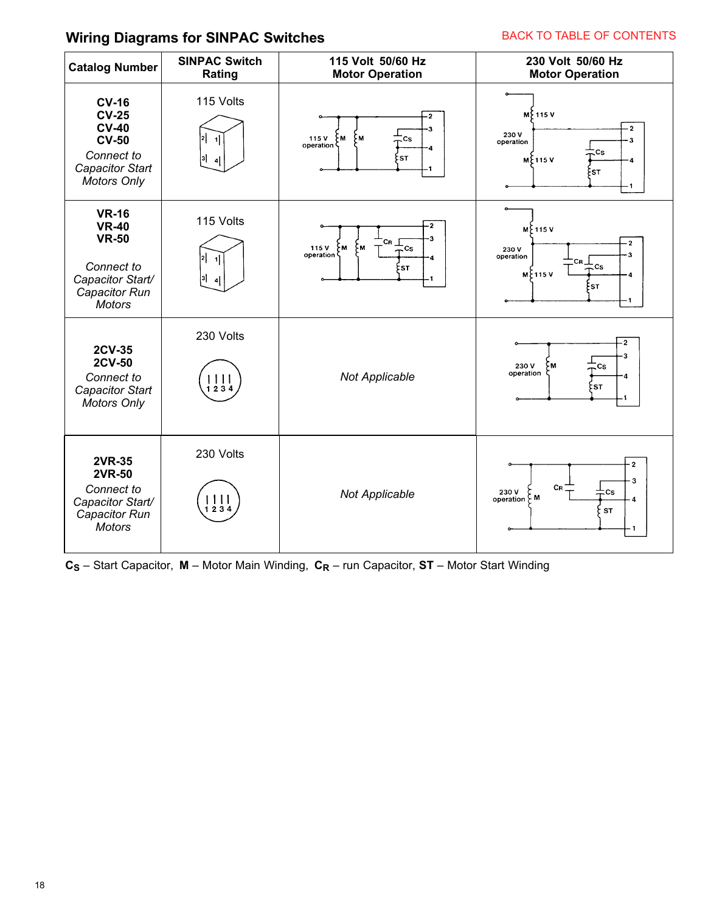## **Wiring Diagrams for SINPAC Switches**

### BACK TO TABLE OF CONTENTS

| <b>Catalog Number</b>                                                                                               | <b>SINPAC Switch</b><br>Rating                                                 | 115 Volt 50/60 Hz<br><b>Motor Operation</b>                                  | 230 Volt 50/60 Hz<br><b>Motor Operation</b>                                                                                         |
|---------------------------------------------------------------------------------------------------------------------|--------------------------------------------------------------------------------|------------------------------------------------------------------------------|-------------------------------------------------------------------------------------------------------------------------------------|
| <b>CV-16</b><br><b>CV-25</b><br><b>CV-40</b><br><b>CV-50</b><br>Connect to<br>Capacitor Start<br><b>Motors Only</b> | 115 Volts<br> 2 <br>$\vert$ 1<br>3]<br>$\overline{4}$                          | $\cdot$ 2<br>۶м<br>115V<br>۶м<br>$\mathsf{c}_\mathsf{S}$<br>operation<br>:ST | M ₹ 115 V<br>$\cdot$ 2<br>230V<br>$\cdot$ 3<br>operation<br>Cs<br>$M$ $+115V$<br>$\ddot{\phantom{0}}$<br>Esт                        |
| <b>VR-16</b><br><b>VR-40</b><br><b>VR-50</b><br>Connect to<br>Capacitor Start/<br>Capacitor Run<br><b>Motors</b>    | 115 Volts<br>2 <br>$\vert$ 1<br>31<br>$\overline{a}$                           | з<br>Св _ <br>Mح 115 V<br>۶м<br>≒cs<br>operation<br>ξSΤ.                     | <b>MF115V</b><br>$\overline{\mathbf{2}}$<br>230V<br>3<br>operation<br>$\mathsf{c}_{\mathsf{R\_}}$<br>Cs.<br>$M \$ 115 V<br>4<br>ξsτ |
| 2CV-35<br>2CV-50<br>Connect to<br>Capacitor Start<br><b>Motors Only</b>                                             | 230 Volts<br>$1111$<br>$1234$                                                  | <b>Not Applicable</b>                                                        | $-2$<br>-3<br>230 V<br>M<br>Cs<br>operation<br>4<br>≿sт                                                                             |
| <b>2VR-35</b><br>2VR-50<br>Connect to<br>Capacitor Start/<br>Capacitor Run<br><b>Motors</b>                         | 230 Volts<br>$\begin{array}{c c c c c} 1 & 1 & 1 \\ 1 & 2 & 3 & 4 \end{array}$ | <b>Not Applicable</b>                                                        | $\cdot$ 2<br>3<br>CR<br>230V<br>Сs<br>operation $\zeta$ M<br>4<br>ST                                                                |

 $C_S$  – Start Capacitor, **M** – Motor Main Winding,  $C_R$  – run Capacitor, **ST** – Motor Start Winding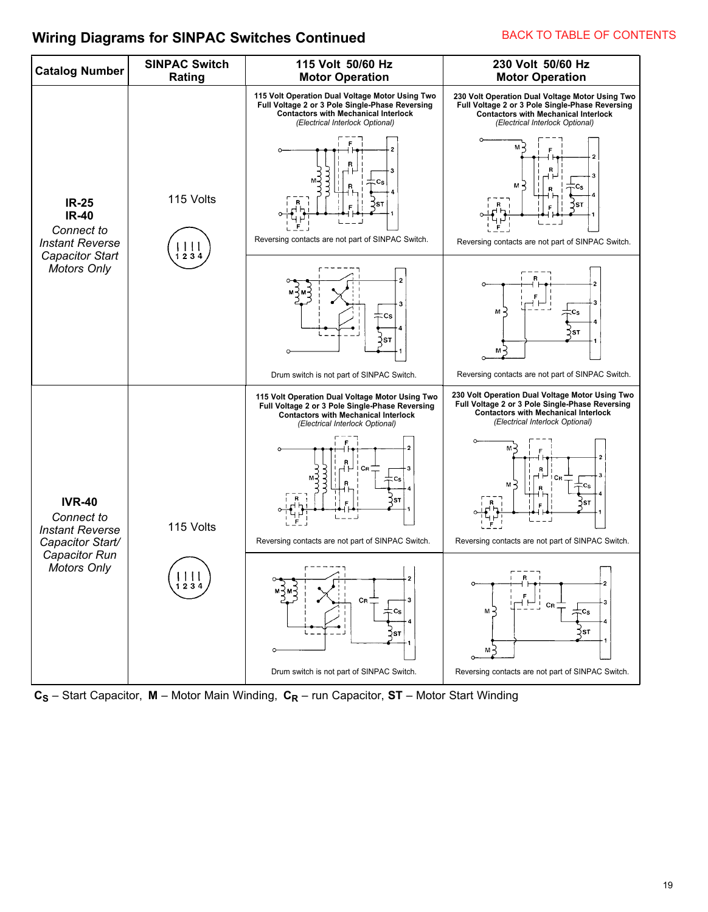## **Wiring Diagrams for SINPAC Switches Continued**



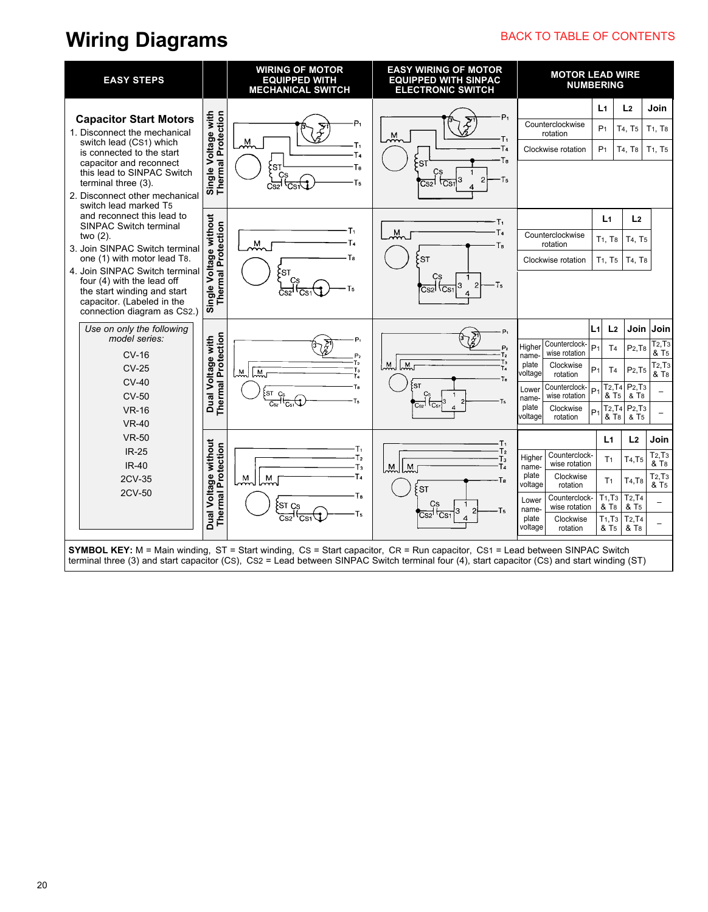## **Wiring Diagrams**

## BACK TO TABLE OF CONTENTS

| <b>EASY STEPS</b>                                                                                                     |                                                   | <b>WIRING OF MOTOR</b><br><b>EQUIPPED WITH</b><br><b>MECHANICAL SWITCH</b>                                                                                                                                                                                                   | <b>EASY WIRING OF MOTOR</b><br><b>EQUIPPED WITH SINPAC</b><br><b>ELECTRONIC SWITCH</b> | <b>MOTOR LEAD WIRE</b><br><b>NUMBERING</b>         |                                                                       |                                                     |                                                                  |  |  |
|-----------------------------------------------------------------------------------------------------------------------|---------------------------------------------------|------------------------------------------------------------------------------------------------------------------------------------------------------------------------------------------------------------------------------------------------------------------------------|----------------------------------------------------------------------------------------|----------------------------------------------------|-----------------------------------------------------------------------|-----------------------------------------------------|------------------------------------------------------------------|--|--|
|                                                                                                                       |                                                   |                                                                                                                                                                                                                                                                              |                                                                                        |                                                    | L1                                                                    | L <sub>2</sub>                                      | Join                                                             |  |  |
| <b>Capacitor Start Motors</b><br>1. Disconnect the mechanical                                                         |                                                   | P1                                                                                                                                                                                                                                                                           | $P_1$<br>$\frac{1}{2}$                                                                 | Counterclockwise<br>rotation                       | P <sub>1</sub>                                                        | T4, T5                                              | T1, T8                                                           |  |  |
| switch lead (CS1) which<br>is connected to the start                                                                  |                                                   | Ж,<br>۰Τ۱<br>T4                                                                                                                                                                                                                                                              | T۱.<br>T <sub>4</sub>                                                                  | Clockwise rotation                                 | P <sub>1</sub>                                                        | T4, T8                                              | T <sub>1</sub> , T <sub>5</sub>                                  |  |  |
| capacitor and reconnect<br>this lead to SINPAC Switch                                                                 | Single Voltage with<br>Thermal Protection         | s⊺}<br>}<br>Тs<br>Cs                                                                                                                                                                                                                                                         | Tв<br>SΤ<br>CS                                                                         |                                                    |                                                                       |                                                     |                                                                  |  |  |
| terminal three (3).<br>2. Disconnect other mechanical<br>switch lead marked T5                                        |                                                   | T <sub>5</sub><br>نعي<br>cszl                                                                                                                                                                                                                                                | ·Ts<br>3<br><b>CS1</b><br>$\overline{\text{Cs2}}$<br>$\boldsymbol{4}$                  |                                                    |                                                                       |                                                     |                                                                  |  |  |
| and reconnect this lead to<br><b>SINPAC Switch terminal</b><br>two (2).<br>3. Join SINPAC Switch terminal             |                                                   |                                                                                                                                                                                                                                                                              | т,                                                                                     |                                                    | L <sub>1</sub>                                                        | L <sub>2</sub>                                      |                                                                  |  |  |
|                                                                                                                       | <b>Thermal Protection</b>                         | $\stackrel{\mathsf{M}}{\sim}$<br>Гa                                                                                                                                                                                                                                          | T <sub>4</sub><br>$M_{\odot}$<br>Ts                                                    | Counterclockwise<br>rotation                       | T <sub>1</sub> , T <sub>8</sub>                                       | T <sub>4</sub> , T <sub>5</sub>                     |                                                                  |  |  |
| Single Voltage without<br>one (1) with motor lead T8.<br>4. Join SINPAC Switch terminal<br>four (4) with the lead off |                                                   |                                                                                                                                                                                                                                                                              | sт                                                                                     | Clockwise rotation                                 | T <sub>1</sub> , T <sub>5</sub>                                       | T4, T8                                              |                                                                  |  |  |
|                                                                                                                       |                                                   | ξsτ                                                                                                                                                                                                                                                                          | Cs<br>۰T5<br>2<br>3<br>$\overline{CS}$<br>Cs2l                                         |                                                    |                                                                       |                                                     |                                                                  |  |  |
| the start winding and start<br>capacitor. (Labeled in the<br>connection diagram as CS2.)                              |                                                   | Cs2'                                                                                                                                                                                                                                                                         | 4                                                                                      |                                                    |                                                                       |                                                     |                                                                  |  |  |
| Use on only the following                                                                                             |                                                   |                                                                                                                                                                                                                                                                              | P,                                                                                     |                                                    | L <sub>2</sub><br>L1                                                  | Join                                                | Join                                                             |  |  |
| model series:                                                                                                         | <b>Thermal Protection</b><br>Dual Voltage with    | P,                                                                                                                                                                                                                                                                           | $\tilde{z}^{\prime}$<br>P <sub>2</sub>                                                 | Counterclock-<br>Higher<br>wise rotation           | P <sub>1</sub><br>T <sub>4</sub>                                      | P <sub>2</sub> , T <sub>8</sub>                     | T <sub>2</sub> , T <sub>3</sub><br>$\overline{8}$ T <sub>5</sub> |  |  |
| <b>CV-16</b><br><b>CV-25</b>                                                                                          |                                                   | P <sub>2</sub><br>T2<br>Tз<br>M<br>M                                                                                                                                                                                                                                         | T <sub>2</sub><br>Τз<br>$\overline{M}$<br>М<br>T4                                      | name-<br>plate<br>Clockwise<br>voltage<br>rotation | P <sub>1</sub><br>T <sub>4</sub>                                      | P <sub>2</sub> , T <sub>5</sub>                     | T <sub>2</sub> , T <sub>3</sub><br>& T <sub>8</sub>              |  |  |
| $CV-40$                                                                                                               |                                                   | Ta<br><b>ST</b>                                                                                                                                                                                                                                                              | Тs<br>ST<br>Cs                                                                         | Counterclock-<br>Lower                             | T <sub>2</sub> , T <sub>4</sub><br>P <sub>1</sub>                     | P <sub>2</sub> , T <sub>3</sub>                     |                                                                  |  |  |
| <b>CV-50</b><br><b>VR-16</b>                                                                                          |                                                   | ᠇ <sub>ᢅ</sub><br>csz <sup>1</sup> cs1<br>Тs                                                                                                                                                                                                                                 | त्त<br>Cs <sub>2</sub><br>$\Delta$                                                     | wise rotation<br>name-<br>plate<br>Clockwise       | & T <sub>5</sub><br>T <sub>2</sub> , T <sub>4</sub><br>D <sub>1</sub> | & T <sub>8</sub><br>$P2$ , T <sub>3</sub>           |                                                                  |  |  |
| <b>VR-40</b>                                                                                                          |                                                   |                                                                                                                                                                                                                                                                              |                                                                                        | voltage<br>rotation                                | & T <sub>8</sub>                                                      | & T <sub>5</sub>                                    |                                                                  |  |  |
| <b>VR-50</b><br>$IR-25$                                                                                               |                                                   | ۰T۱                                                                                                                                                                                                                                                                          | T۱<br>T2                                                                               | Counterclock-                                      | L <sub>1</sub>                                                        | L <sub>2</sub>                                      | Join<br>T <sub>2</sub> , T <sub>3</sub>                          |  |  |
| <b>IR-40</b>                                                                                                          |                                                   | T <sub>2</sub><br>Tз                                                                                                                                                                                                                                                         | Tз<br>M<br>${\sf M}$                                                                   | Higher<br>wise rotation<br>name-                   | T <sub>1</sub>                                                        | T <sub>4</sub> , T <sub>5</sub>                     | & T <sub>8</sub>                                                 |  |  |
| 2CV-35<br>2CV-50                                                                                                      |                                                   | T4<br>M<br>М                                                                                                                                                                                                                                                                 | Тв<br><b>ST</b>                                                                        | plate<br>Clockwise<br>voltage<br>rotation          | T <sub>1</sub>                                                        | T4, T8                                              | T <sub>2</sub> , T <sub>3</sub><br>& T <sub>5</sub>              |  |  |
|                                                                                                                       | Dual Voltage without<br><b>Thermal Protection</b> | Тs<br>S <sub>T</sub><br>Ts                                                                                                                                                                                                                                                   | Çs<br>۰T <sub>5</sub><br>$\overline{C}$ S1<br>$\overline{\text{Cs2}}$                  | Counterclock-<br>Lower<br>wise rotation<br>name-   | T <sub>1</sub> , T <sub>3</sub><br>& T <sub>8</sub>                   | T <sub>2</sub> , T <sub>4</sub><br>& T <sub>5</sub> |                                                                  |  |  |
|                                                                                                                       |                                                   | <b>CS1</b>                                                                                                                                                                                                                                                                   |                                                                                        | plate<br>Clockwise<br>voltage<br>rotation          | T <sub>1</sub> , T <sub>3</sub><br>& T <sub>5</sub>                   | T <sub>2</sub> , T <sub>4</sub><br>& T <sub>8</sub> |                                                                  |  |  |
|                                                                                                                       |                                                   | SYMBOL KEY: M = Main winding, ST = Start winding, CS = Start capacitor, CR = Run capacitor, CS1 = Lead between SINPAC Switch<br>terminal three (3) and start capacitor (CS), CS2 = Lead between SINPAC Switch terminal four (4), start capacitor (CS) and start winding (ST) |                                                                                        |                                                    |                                                                       |                                                     |                                                                  |  |  |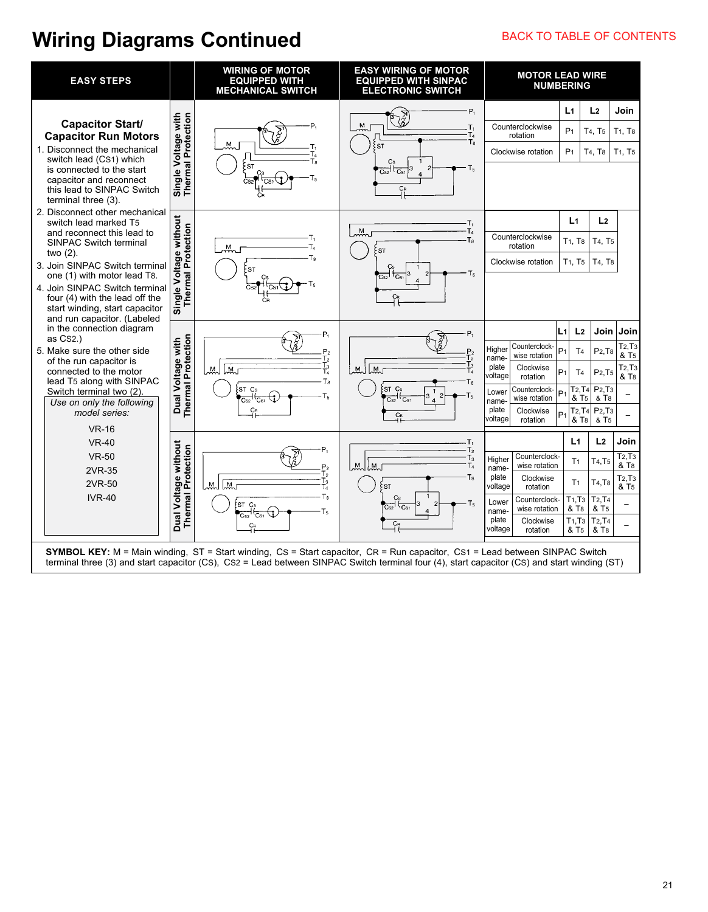## **Wiring Diagrams Continued** BACK TO TABLE OF CONTENTS

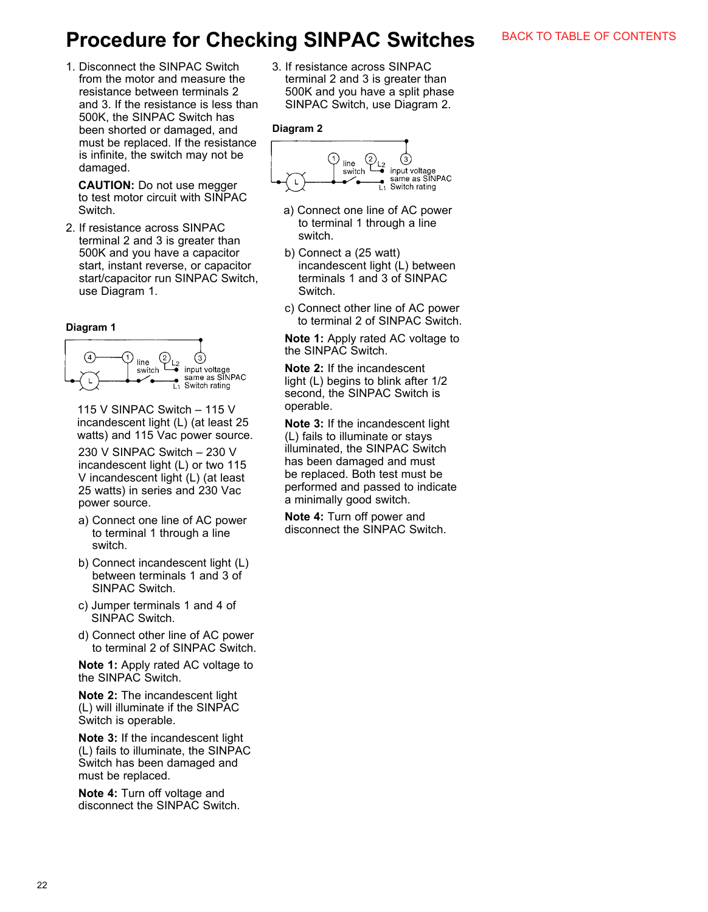## **Procedure for Checking SINPAC Switches**

1. Disconnect the SINPAC Switch from the motor and measure the resistance between terminals 2 and 3. If the resistance is less than 500K, the SINPAC Switch has been shorted or damaged, and must be replaced. If the resistance is infinite, the switch may not be damaged.

**CAUTION:** Do not use megger to test motor circuit with SINPAC Switch.

2. If resistance across SINPAC terminal 2 and 3 is greater than 500K and you have a capacitor start, instant reverse, or capacitor start/capacitor run SINPAC Switch, use Diagram 1.

#### **Diagram 1**



115 V SINPAC Switch – 115 V incandescent light (L) (at least 25 watts) and 115 Vac power source.

 230 V SINPAC Switch – 230 V incandescent light (L) or two 115 V incandescent light (L) (at least 25 watts) in series and 230 Vac power source.

- a) Connect one line of AC power to terminal 1 through a line switch.
- b) Connect incandescent light (L) between terminals 1 and 3 of SINPAC Switch.
- c) Jumper terminals 1 and 4 of SINPAC Switch.
- d) Connect other line of AC power to terminal 2 of SINPAC Switch.

 **Note 1:** Apply rated AC voltage to the SINPAC Switch.

 **Note 2:** The incandescent light (L) will illuminate if the SINPAC Switch is operable.

 **Note 3:** If the incandescent light (L) fails to illuminate, the SINPAC Switch has been damaged and must be replaced.

**Note 4:** Turn off voltage and disconnect the SINPAC Switch. 3. If resistance across SINPAC terminal 2 and 3 is greater than 500K and you have a split phase SINPAC Switch, use Diagram 2.

#### **Diagram 2**



- a) Connect one line of AC power to terminal 1 through a line switch.
- b) Connect a (25 watt) incandescent light (L) between terminals 1 and 3 of SINPAC Switch.
- c) Connect other line of AC power to terminal 2 of SINPAC Switch.

**Note 1:** Apply rated AC voltage to the SINPAC Switch.

 **Note 2:** If the incandescent light (L) begins to blink after 1/2 second, the SINPAC Switch is operable.

 **Note 3:** If the incandescent light (L) fails to illuminate or stays illuminated, the SINPAC Switch has been damaged and must be replaced. Both test must be performed and passed to indicate a minimally good switch.

 **Note 4:** Turn off power and disconnect the SINPAC Switch.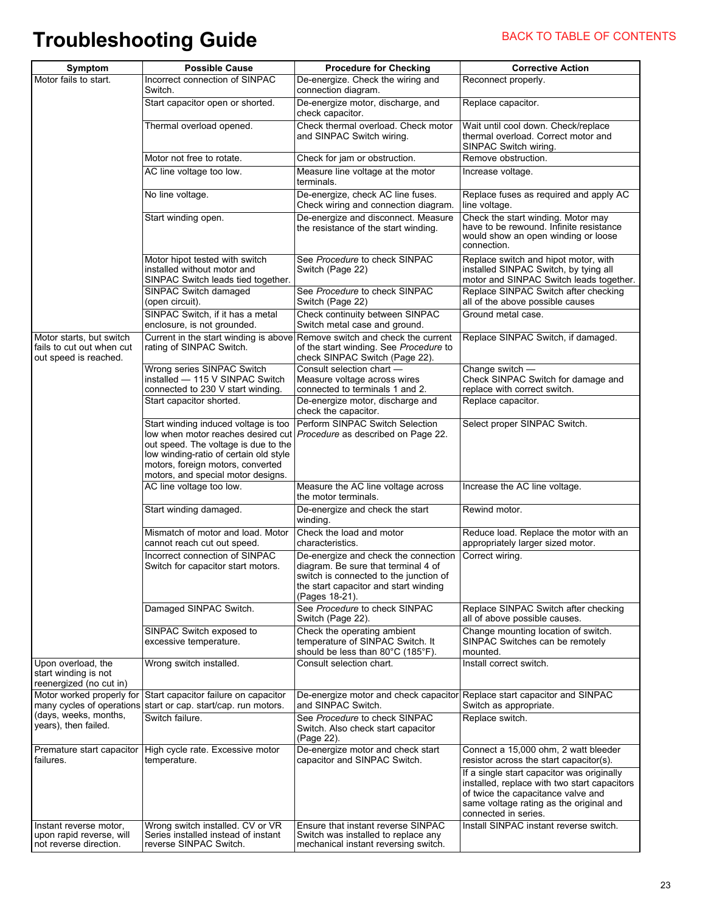# **Troubleshooting Guide** BACK TO TABLE OF CONTENTS

| Symptom<br>Motor fails to start.                                               | <b>Possible Cause</b><br>Incorrect connection of SINPAC<br>Switch                                                                                                                                                                       | <b>Procedure for Checking</b><br>De-energize. Check the wiring and<br>connection diagram.                                                                                        | <b>Corrective Action</b><br>Reconnect properly.                                                                                                                                                     |
|--------------------------------------------------------------------------------|-----------------------------------------------------------------------------------------------------------------------------------------------------------------------------------------------------------------------------------------|----------------------------------------------------------------------------------------------------------------------------------------------------------------------------------|-----------------------------------------------------------------------------------------------------------------------------------------------------------------------------------------------------|
|                                                                                | Start capacitor open or shorted.                                                                                                                                                                                                        | De-energize motor, discharge, and<br>check capacitor.                                                                                                                            | Replace capacitor.                                                                                                                                                                                  |
|                                                                                | Thermal overload opened.                                                                                                                                                                                                                | Check thermal overload. Check motor<br>and SINPAC Switch wiring.                                                                                                                 | Wait until cool down. Check/replace<br>thermal overload. Correct motor and<br>SINPAC Switch wiring.                                                                                                 |
|                                                                                | Motor not free to rotate.                                                                                                                                                                                                               | Check for jam or obstruction.                                                                                                                                                    | Remove obstruction.                                                                                                                                                                                 |
|                                                                                | AC line voltage too low.                                                                                                                                                                                                                | Measure line voltage at the motor<br>terminals.                                                                                                                                  | Increase voltage.                                                                                                                                                                                   |
|                                                                                | No line voltage.                                                                                                                                                                                                                        | De-energize, check AC line fuses.<br>Check wiring and connection diagram.                                                                                                        | Replace fuses as required and apply AC<br>line voltage.                                                                                                                                             |
|                                                                                | Start winding open.                                                                                                                                                                                                                     | De-energize and disconnect. Measure<br>the resistance of the start winding.                                                                                                      | Check the start winding. Motor may<br>have to be rewound. Infinite resistance<br>would show an open winding or loose<br>connection.                                                                 |
|                                                                                | Motor hipot tested with switch<br>installed without motor and<br>SINPAC Switch leads tied together.                                                                                                                                     | See Procedure to check SINPAC<br>Switch (Page 22)                                                                                                                                | Replace switch and hipot motor, with<br>installed SINPAC Switch, by tying all<br>motor and SINPAC Switch leads together.                                                                            |
|                                                                                | SINPAC Switch damaged<br>(open circuit).                                                                                                                                                                                                | See Procedure to check SINPAC<br>Switch (Page 22)                                                                                                                                | Replace SINPAC Switch after checking<br>all of the above possible causes                                                                                                                            |
|                                                                                | SINPAC Switch, if it has a metal<br>enclosure, is not grounded.                                                                                                                                                                         | Check continuity between SINPAC<br>Switch metal case and ground.                                                                                                                 | Ground metal case.                                                                                                                                                                                  |
| Motor starts, but switch<br>fails to cut out when cut<br>out speed is reached. | Current in the start winding is above<br>rating of SINPAC Switch.                                                                                                                                                                       | Remove switch and check the current<br>of the start winding. See Procedure to<br>check SINPAC Switch (Page 22).                                                                  | Replace SINPAC Switch, if damaged.                                                                                                                                                                  |
|                                                                                | Wrong series SINPAC Switch<br>installed - 115 V SINPAC Switch<br>connected to 230 V start winding.                                                                                                                                      | Consult selection chart -<br>Measure voltage across wires<br>connected to terminals 1 and 2.                                                                                     | Change switch -<br>Check SINPAC Switch for damage and<br>replace with correct switch.                                                                                                               |
|                                                                                | Start capacitor shorted.                                                                                                                                                                                                                | De-energize motor, discharge and<br>check the capacitor.                                                                                                                         | Replace capacitor.                                                                                                                                                                                  |
|                                                                                | Start winding induced voltage is too<br>low when motor reaches desired cut<br>out speed. The voltage is due to the<br>low winding-ratio of certain old style<br>motors, foreign motors, converted<br>motors, and special motor designs. | Perform SINPAC Switch Selection<br>Procedure as described on Page 22.                                                                                                            | Select proper SINPAC Switch.                                                                                                                                                                        |
|                                                                                | AC line voltage too low.                                                                                                                                                                                                                | Measure the AC line voltage across<br>the motor terminals.                                                                                                                       | Increase the AC line voltage.                                                                                                                                                                       |
|                                                                                | Start winding damaged.                                                                                                                                                                                                                  | De-energize and check the start<br>winding.                                                                                                                                      | Rewind motor.                                                                                                                                                                                       |
|                                                                                | Mismatch of motor and load. Motor<br>cannot reach cut out speed.                                                                                                                                                                        | Check the load and motor<br>characteristics.                                                                                                                                     | Reduce load. Replace the motor with an<br>appropriately larger sized motor.                                                                                                                         |
|                                                                                | Incorrect connection of SINPAC<br>Switch for capacitor start motors.                                                                                                                                                                    | De-energize and check the connection<br>diagram. Be sure that terminal 4 of<br>switch is connected to the junction of<br>the start capacitor and start winding<br>(Pages 18-21). | Correct wiring.                                                                                                                                                                                     |
|                                                                                | Damaged SINPAC Switch.                                                                                                                                                                                                                  | See Procedure to check SINPAC<br>Switch (Page 22).                                                                                                                               | Replace SINPAC Switch after checking<br>all of above possible causes.                                                                                                                               |
|                                                                                | SINPAC Switch exposed to<br>excessive temperature.                                                                                                                                                                                      | Check the operating ambient<br>temperature of SINPAC Switch. It<br>should be less than 80°C (185°F).                                                                             | Change mounting location of switch.<br>SINPAC Switches can be remotely<br>mounted.                                                                                                                  |
| Upon overload, the<br>start winding is not<br>reenergized (no cut in)          | Wrong switch installed.                                                                                                                                                                                                                 | Consult selection chart.                                                                                                                                                         | Install correct switch.                                                                                                                                                                             |
|                                                                                | Motor worked properly for Start capacitor failure on capacitor<br>many cycles of operations start or cap. start/cap. run motors.                                                                                                        | De-energize motor and check capacitor Replace start capacitor and SINPAC<br>and SINPAC Switch.                                                                                   | Switch as appropriate.                                                                                                                                                                              |
| (days, weeks, months,<br>years), then failed.                                  | Switch failure.                                                                                                                                                                                                                         | See Procedure to check SINPAC<br>Switch. Also check start capacitor<br>(Page 22).                                                                                                | Replace switch.                                                                                                                                                                                     |
| Premature start capacitor<br>failures.                                         | High cycle rate. Excessive motor<br>temperature.                                                                                                                                                                                        | De-energize motor and check start<br>capacitor and SINPAC Switch.                                                                                                                | Connect a 15,000 ohm, 2 watt bleeder<br>resistor across the start capacitor(s).                                                                                                                     |
|                                                                                |                                                                                                                                                                                                                                         |                                                                                                                                                                                  | If a single start capacitor was originally<br>installed, replace with two start capacitors<br>of twice the capacitance valve and<br>same voltage rating as the original and<br>connected in series. |
| Instant reverse motor,<br>upon rapid reverse, will<br>not reverse direction.   | Wrong switch installed. CV or VR<br>Series installed instead of instant<br>reverse SINPAC Switch.                                                                                                                                       | Ensure that instant reverse SINPAC<br>Switch was installed to replace any<br>mechanical instant reversing switch.                                                                | Install SINPAC instant reverse switch.                                                                                                                                                              |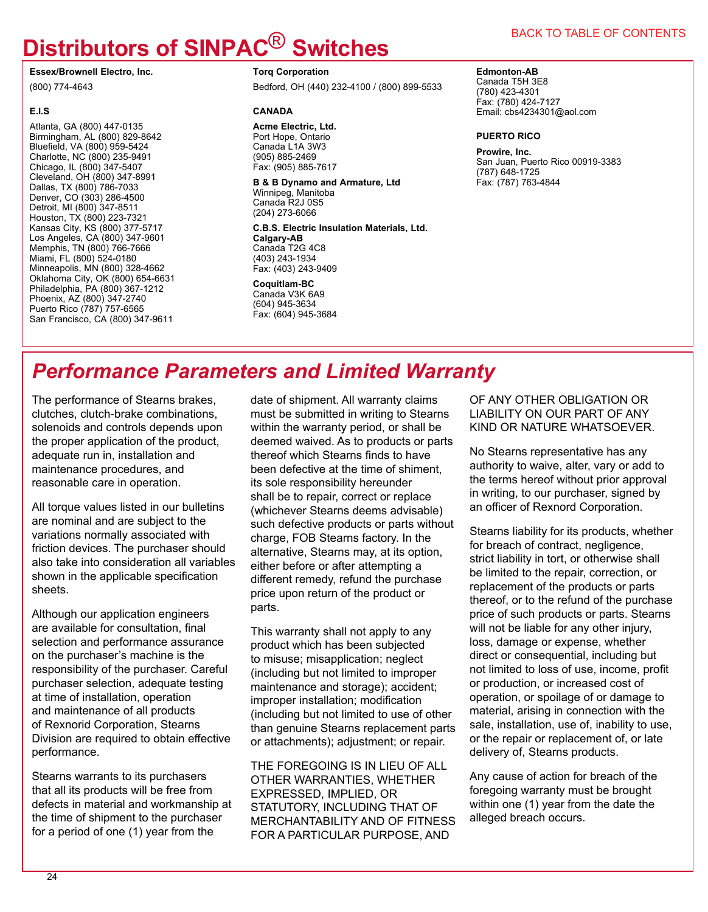# **Distributors of SINPAC**® **Switches**

**Essex/Brownell Electro, Inc.**

(800) 774-4643

#### **E.I.S**

Atlanta, GA (800) 447-0135 Birmingham, AL (800) 829-8642 Bluefield, VA (800) 959-5424 Charlotte, NC (800) 235-9491 Chicago, IL (800) 347-5407 Cleveland, OH (800) 347-8991 Dallas, TX (800) 786-7033 Denver, CO (303) 286-4500 Detroit, MI (800) 347-8511 Houston, TX (800) 223-7321 Kansas City, KS (800) 377-5717 Los Angeles, CA (800) 347-9601 Memphis, TN (800) 766-7666 Miami, FL (800) 524-0180 Minneapolis, MN (800) 328-4662 Oklahoma City, OK (800) 654-6631 Philadelphia, PA (800) 367-1212 Phoenix, AZ (800) 347-2740 Puerto Rico (787) 757-6565 San Francisco, CA (800) 347-9611

## **Torq Corporation**

Bedford, OH (440) 232-4100 / (800) 899-5533

#### **CANADA**

**Acme Electric, Ltd.** Port Hope, Ontario Canada L1A 3W3 (905) 885-2469 Fax: (905) 885-7617

#### **B & B Dynamo and Armature, Ltd** Winnipeg, Manitoba

Canada R2J 0S5 (204) 273-6066

**C.B.S. Electric Insulation Materials, Ltd. Calgary-AB** Canada T2G 4C8 (403) 243-1934 Fax: (403) 243-9409

## **Coquitlam-BC**

Canada V3K 6A9 (604) 945-3634 Fax: (604) 945-3684

### BACK TO TABLE OF CONTENTS

#### **Edmonton-AB**

Canada T5H 3E8 (780) 423-4301 Fax: (780) 424-7127 Email: cbs4234301@aol.com

#### **PUERTO RICO**

**Prowire, Inc.** San Juan, Puerto Rico 00919-3383 (787) 648-1725 Fax: (787) 763-4844

## *Performance Parameters and Limited Warranty*

The performance of Stearns brakes, clutches, clutch-brake combinations, solenoids and controls depends upon the proper application of the product, adequate run in, installation and maintenance procedures, and reasonable care in operation.

All torque values listed in our bulletins are nominal and are subject to the variations normally associated with friction devices. The purchaser should also take into consideration all variables shown in the applicable specification sheets.

Although our application engineers are available for consultation, final selection and performance assurance on the purchaser's machine is the responsibility of the purchaser. Careful purchaser selection, adequate testing at time of installation, operation and maintenance of all products of Rexnorid Corporation, Stearns Division are required to obtain effective performance.

Stearns warrants to its purchasers that all its products will be free from defects in material and workmanship at the time of shipment to the purchaser for a period of one (1) year from the

date of shipment. All warranty claims must be submitted in writing to Stearns within the warranty period, or shall be deemed waived. As to products or parts thereof which Stearns finds to have been defective at the time of shiment, its sole responsibility hereunder shall be to repair, correct or replace (whichever Stearns deems advisable) such defective products or parts without charge, FOB Stearns factory. In the alternative, Stearns may, at its option, either before or after attempting a different remedy, refund the purchase price upon return of the product or parts.

This warranty shall not apply to any product which has been subjected to misuse; misapplication; neglect (including but not limited to improper maintenance and storage); accident; improper installation; modification (including but not limited to use of other than genuine Stearns replacement parts or attachments); adjustment; or repair.

THE FOREGOING IS IN LIEU OF ALL OTHER WARRANTIES, WHETHER EXPRESSED, IMPLIED, OR STATUTORY, INCLUDING THAT OF MERCHANTABILITY AND OF FITNESS FOR A PARTICULAR PURPOSE, AND

OF ANY OTHER OBLIGATION OR LIABILITY ON OUR PART OF ANY KIND OR NATURE WHATSOEVER.

No Stearns representative has any authority to waive, alter, vary or add to the terms hereof without prior approval in writing, to our purchaser, signed by an officer of Rexnord Corporation.

Stearns liability for its products, whether for breach of contract, negligence, strict liability in tort, or otherwise shall be limited to the repair, correction, or replacement of the products or parts thereof, or to the refund of the purchase price of such products or parts. Stearns will not be liable for any other injury, loss, damage or expense, whether direct or consequential, including but not limited to loss of use, income, profit or production, or increased cost of operation, or spoilage of or damage to material, arising in connection with the sale, installation, use of, inability to use, or the repair or replacement of, or late delivery of, Stearns products.

Any cause of action for breach of the foregoing warranty must be brought within one (1) year from the date the alleged breach occurs.